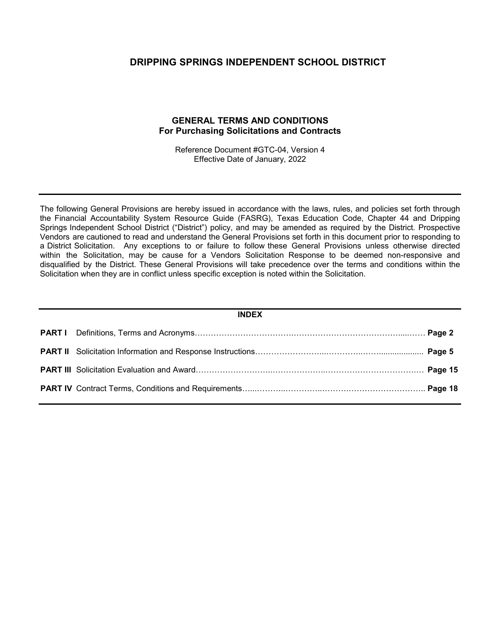### **DRIPPING SPRINGS INDEPENDENT SCHOOL DISTRICT**

### **GENERAL TERMS AND CONDITIONS For Purchasing Solicitations and Contracts**

Reference Document #GTC-04, Version 4 Effective Date of January, 2022

The following General Provisions are hereby issued in accordance with the laws, rules, and policies set forth through the Financial Accountability System Resource Guide (FASRG), Texas Education Code, Chapter 44 and Dripping Springs Independent School District ("District") policy, and may be amended as required by the District. Prospective Vendors are cautioned to read and understand the General Provisions set forth in this document prior to responding to a District Solicitation. Any exceptions to or failure to follow these General Provisions unless otherwise directed within the Solicitation, may be cause for a Vendors Solicitation Response to be deemed non-responsive and disqualified by the District. These General Provisions will take precedence over the terms and conditions within the Solicitation when they are in conflict unless specific exception is noted within the Solicitation.

#### **INDEX**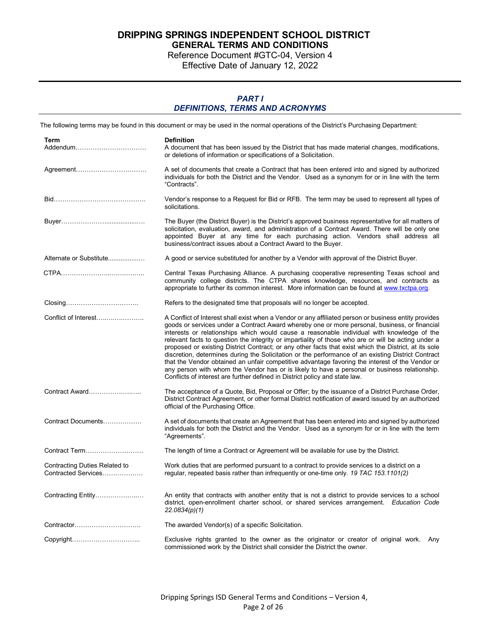Reference Document #GTC-04, Version 4

Effective Date of January 12, 2022

### *PART I DEFINITIONS, TERMS AND ACRONYMS*

The following terms may be found in this document or may be used in the normal operations of the District's Purchasing Department: **Term Definition** A document that has been issued by the District that has made material changes, modifications, or deletions of information or specifications of a Solicitation. Agreement…………………………… A set of documents that create a Contract that has been entered into and signed by authorized individuals for both the District and the Vendor. Used as a synonym for or in line with the term "Contracts". Bid……………………………………. Vendor's response to a Request for Bid or RFB. The term may be used to represent all types of solicitations. Buyer………………….................…. The Buyer (the District Buyer) is the District's approved business representative for all matters of solicitation, evaluation, award, and administration of a Contract Award. There will be only one appointed Buyer at any time for each purchasing action. Vendors shall address all business/contract issues about a Contract Award to the Buyer. Alternate or Substitute.................… A good or service substituted for another by a Vendor with approval of the District Buyer. CTPA…………………..….….….….. Central Texas Purchasing Alliance. A purchasing cooperative representing Texas school and community college districts. The CTPA shares knowledge, resources, and contracts as appropriate to further its common interest. More information can be found at www.txctpa.org. Closing……………………………. Refers to the designated time that proposals will no longer be accepted. Conflict of Interest…..….….………. A Conflict of Interest shall exist when a Vendor or any affiliated person or business entity provides goods or services under a Contract Award whereby one or more personal, business, or financial interests or relationships which would cause a reasonable individual with knowledge of the relevant facts to question the integrity or impartiality of those who are or will be acting under a proposed or existing District Contract; or any other facts that exist which the District, at its sole discretion, determines during the Solicitation or the performance of an existing District Contract that the Vendor obtained an unfair competitive advantage favoring the interest of the Vendor or any person with whom the Vendor has or is likely to have a personal or business relationship. Conflicts of interest are further defined in District policy and state law. Contract Award…………….….….. The acceptance of a Quote, Bid, Proposal or Offer; by the issuance of a District Purchase Order, District Contract Agreement, or other formal District notification of award issued by an authorized official of the Purchasing Office. Contract Documents……………… A set of documents that create an Agreement that has been entered into and signed by authorized individuals for both the District and the Vendor. Used as a synonym for or in line with the term "Agreements". Contract Term……………………… The length of time a Contract or Agreement will be available for use by the District. Contracting Duties Related to Contracted Services………………. Work duties that are performed pursuant to a contract to provide services to a district on a regular, repeated basis rather than infrequently or one-time only. *19 TAC 153.1101(2)* Contracting Entity………………..… An entity that contracts with another entity that is not a district to provide services to a school district, open-enrollment charter school, or shared services arrangement. *Education Code 22.0834(p)(1)* Contractor…………………………. The awarded Vendor(s) of a specific Solicitation. Copyright………………………….. Exclusive rights granted to the owner as the originator or creator of original work. Any commissioned work by the District shall consider the District the owner.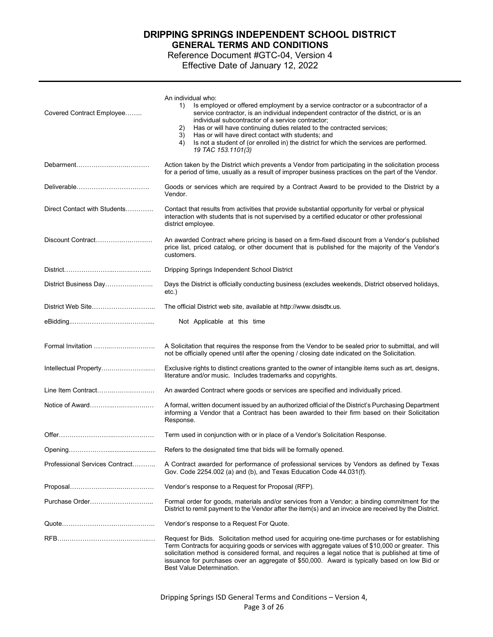Reference Document #GTC-04, Version 4 Effective Date of January 12, 2022

| Covered Contract Employee      | An individual who:<br>Is employed or offered employment by a service contractor or a subcontractor of a<br>1)<br>service contractor, is an individual independent contractor of the district, or is an<br>individual subcontractor of a service contractor;<br>2)<br>Has or will have continuing duties related to the contracted services;<br>3)<br>Has or will have direct contact with students; and<br>Is not a student of (or enrolled in) the district for which the services are performed.<br>4)<br>19 TAC 153.1101(3) |
|--------------------------------|--------------------------------------------------------------------------------------------------------------------------------------------------------------------------------------------------------------------------------------------------------------------------------------------------------------------------------------------------------------------------------------------------------------------------------------------------------------------------------------------------------------------------------|
|                                | Action taken by the District which prevents a Vendor from participating in the solicitation process<br>for a period of time, usually as a result of improper business practices on the part of the Vendor.                                                                                                                                                                                                                                                                                                                     |
| Deliverable                    | Goods or services which are required by a Contract Award to be provided to the District by a<br>Vendor.                                                                                                                                                                                                                                                                                                                                                                                                                        |
| Direct Contact with Students   | Contact that results from activities that provide substantial opportunity for verbal or physical<br>interaction with students that is not supervised by a certified educator or other professional<br>district employee.                                                                                                                                                                                                                                                                                                       |
| Discount Contract              | An awarded Contract where pricing is based on a firm-fixed discount from a Vendor's published<br>price list, priced catalog, or other document that is published for the majority of the Vendor's<br>customers.                                                                                                                                                                                                                                                                                                                |
|                                | Dripping Springs Independent School District                                                                                                                                                                                                                                                                                                                                                                                                                                                                                   |
| District Business Day          | Days the District is officially conducting business (excludes weekends, District observed holidays,<br>etc.)                                                                                                                                                                                                                                                                                                                                                                                                                   |
|                                | The official District web site, available at http://www.dsisdtx.us.                                                                                                                                                                                                                                                                                                                                                                                                                                                            |
|                                | Not Applicable at this time                                                                                                                                                                                                                                                                                                                                                                                                                                                                                                    |
| Formal Invitation              | A Solicitation that requires the response from the Vendor to be sealed prior to submittal, and will<br>not be officially opened until after the opening / closing date indicated on the Solicitation.                                                                                                                                                                                                                                                                                                                          |
| Intellectual Property          | Exclusive rights to distinct creations granted to the owner of intangible items such as art, designs,<br>literature and/or music. Includes trademarks and copyrights.                                                                                                                                                                                                                                                                                                                                                          |
| Line Item Contract             | An awarded Contract where goods or services are specified and individually priced.                                                                                                                                                                                                                                                                                                                                                                                                                                             |
| Notice of Award                | A formal, written document issued by an authorized official of the District's Purchasing Department<br>informing a Vendor that a Contract has been awarded to their firm based on their Solicitation<br>Response.                                                                                                                                                                                                                                                                                                              |
|                                | Term used in conjunction with or in place of a Vendor's Solicitation Response.                                                                                                                                                                                                                                                                                                                                                                                                                                                 |
|                                | Refers to the designated time that bids will be formally opened.                                                                                                                                                                                                                                                                                                                                                                                                                                                               |
| Professional Services Contract | A Contract awarded for performance of professional services by Vendors as defined by Texas<br>Gov. Code 2254.002 (a) and (b), and Texas Education Code 44.031(f).                                                                                                                                                                                                                                                                                                                                                              |
|                                | Vendor's response to a Request for Proposal (RFP).                                                                                                                                                                                                                                                                                                                                                                                                                                                                             |
| Purchase Order                 | Formal order for goods, materials and/or services from a Vendor; a binding commitment for the<br>District to remit payment to the Vendor after the item(s) and an invoice are received by the District.                                                                                                                                                                                                                                                                                                                        |
|                                | Vendor's response to a Request For Quote.                                                                                                                                                                                                                                                                                                                                                                                                                                                                                      |
|                                | Request for Bids. Solicitation method used for acquiring one-time purchases or for establishing<br>Term Contracts for acquiring goods or services with aggregate values of \$10,000 or greater. This<br>solicitation method is considered formal, and requires a legal notice that is published at time of<br>issuance for purchases over an aggregate of \$50,000. Award is typically based on low Bid or<br>Best Value Determination.                                                                                        |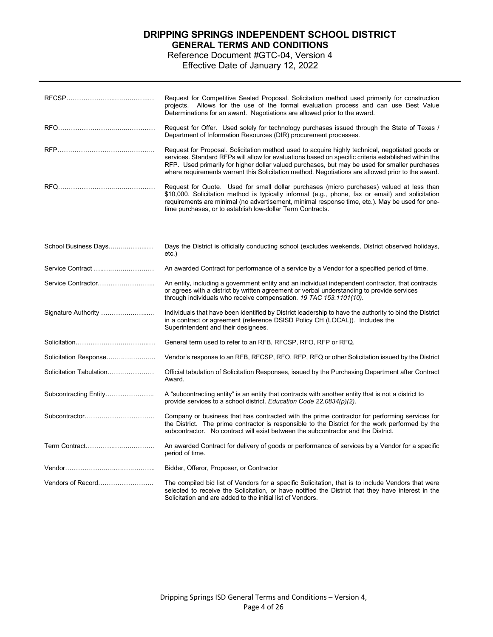Reference Document #GTC-04, Version 4 Effective Date of January 12, 2022

|                         | Request for Competitive Sealed Proposal. Solicitation method used primarily for construction<br>projects. Allows for the use of the formal evaluation process and can use Best Value<br>Determinations for an award. Negotiations are allowed prior to the award.                                                                                                                                             |
|-------------------------|---------------------------------------------------------------------------------------------------------------------------------------------------------------------------------------------------------------------------------------------------------------------------------------------------------------------------------------------------------------------------------------------------------------|
|                         | Request for Offer. Used solely for technology purchases issued through the State of Texas /<br>Department of Information Resources (DIR) procurement processes.                                                                                                                                                                                                                                               |
|                         | Request for Proposal. Solicitation method used to acquire highly technical, negotiated goods or<br>services. Standard RFPs will allow for evaluations based on specific criteria established within the<br>RFP. Used primarily for higher dollar valued purchases, but may be used for smaller purchases<br>where requirements warrant this Solicitation method. Negotiations are allowed prior to the award. |
|                         | Request for Quote. Used for small dollar purchases (micro purchases) valued at less than<br>\$10,000. Solicitation method is typically informal (e.g., phone, fax or email) and solicitation<br>requirements are minimal (no advertisement, minimal response time, etc.). May be used for one-<br>time purchases, or to establish low-dollar Term Contracts.                                                  |
| School Business Days    | Days the District is officially conducting school (excludes weekends, District observed holidays,<br>etc.)                                                                                                                                                                                                                                                                                                    |
| Service Contract        | An awarded Contract for performance of a service by a Vendor for a specified period of time.                                                                                                                                                                                                                                                                                                                  |
|                         | An entity, including a government entity and an individual independent contractor, that contracts<br>or agrees with a district by written agreement or verbal understanding to provide services<br>through individuals who receive compensation. 19 TAC 153.1101(10).                                                                                                                                         |
| Signature Authority     | Individuals that have been identified by District leadership to have the authority to bind the District<br>in a contract or agreement (reference DSISD Policy CH (LOCAL)). Includes the<br>Superintendent and their designees.                                                                                                                                                                                |
|                         | General term used to refer to an RFB, RFCSP, RFO, RFP or RFQ.                                                                                                                                                                                                                                                                                                                                                 |
| Solicitation Response   | Vendor's response to an RFB, RFCSP, RFO, RFP, RFQ or other Solicitation issued by the District                                                                                                                                                                                                                                                                                                                |
| Solicitation Tabulation | Official tabulation of Solicitation Responses, issued by the Purchasing Department after Contract<br>Award.                                                                                                                                                                                                                                                                                                   |
| Subcontracting Entity   | A "subcontracting entity" is an entity that contracts with another entity that is not a district to<br>provide services to a school district. Education Code 22.0834(p)(2).                                                                                                                                                                                                                                   |
| Subcontractor           | Company or business that has contracted with the prime contractor for performing services for<br>the District. The prime contractor is responsible to the District for the work performed by the<br>subcontractor. No contract will exist between the subcontractor and the District.                                                                                                                         |
|                         | An awarded Contract for delivery of goods or performance of services by a Vendor for a specific<br>period of time.                                                                                                                                                                                                                                                                                            |
|                         | Bidder, Offeror, Proposer, or Contractor                                                                                                                                                                                                                                                                                                                                                                      |
|                         | The compiled bid list of Vendors for a specific Solicitation, that is to include Vendors that were<br>selected to receive the Solicitation, or have notified the District that they have interest in the<br>Solicitation and are added to the initial list of Vendors.                                                                                                                                        |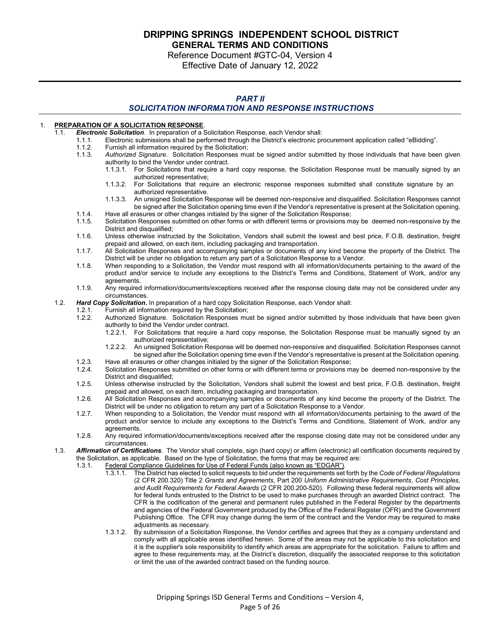Reference Document #GTC-04, Version 4 Effective Date of January 12, 2022

### *PART II*

### *SOLICITATION INFORMATION AND RESPONSE INSTRUCTIONS*

#### 1. **PREPARATION OF A SOLICITATION RESPONSE**.

- 1.1. *Electronic Solicitation*. In preparation of a Solicitation Response, each Vendor shall:
	- 1.1.1. Electronic submissions shall be performed through the District's electronic procurement application called "eBidding".
	- 1.1.2. Furnish all information required by the Solicitation;<br>1.1.3. Authorized Signature. Solicitation Responses mu
		- Authorized Signature. Solicitation Responses must be signed and/or submitted by those individuals that have been given authority to bind the Vendor under contract.
			- 1.1.3.1. For Solicitations that require a hard copy response, the Solicitation Response must be manually signed by an authorized representative;
				- 1.1.3.2. For Solicitations that require an electronic response responses submitted shall constitute signature by an authorized representative.
				- 1.1.3.3. An unsigned Solicitation Response will be deemed non-responsive and disqualified. Solicitation Responses cannot be signed after the Solicitation opening time even if the Vendor's representative is present at the Solicitation opening.
	- 1.1.4. Have all erasures or other changes initialed by the signer of the Solicitation Response;<br>1.1.5 Solicitation Responses submitted on other forms or with different terms or provisions m Solicitation Responses submitted on other forms or with different terms or provisions may be deemed non-responsive by the
		- District and disqualified;
	- 1.1.6. Unless otherwise instructed by the Solicitation, Vendors shall submit the lowest and best price, F.O.B. destination, freight prepaid and allowed, on each item, including packaging and transportation.
	- 1.1.7. All Solicitation Responses and accompanying samples or documents of any kind become the property of the District. The District will be under no obligation to return any part of a Solicitation Response to a Vendor.
	- 1.1.8. When responding to a Solicitation, the Vendor must respond with all information/documents pertaining to the award of the product and/or service to include any exceptions to the District's Terms and Conditions, Statement of Work, and/or any agreements.
	- 1.1.9. Any required information/documents/exceptions received after the response closing date may not be considered under any circumstances.

# 1.2. *Hard Copy Solicitation***.** In preparation of a hard copy Solicitation Response, each Vendor shall:

- 1.2.1. Furnish all information required by the Solicitation;
	- Authorized Signature. Solicitation Responses must be signed and/or submitted by those individuals that have been given authority to bind the Vendor under contract.
		- 1.2.2.1. For Solicitations that require a hard copy response, the Solicitation Response must be manually signed by an authorized representative;
		- 1.2.2.2. An unsigned Solicitation Response will be deemed non-responsive and disqualified. Solicitation Responses cannot be signed after the Solicitation opening time even if the Vendor's representative is present at the Solicitation opening.
- 1.2.3. Have all erasures or other changes initialed by the signer of the Solicitation Response;
- Solicitation Responses submitted on other forms or with different terms or provisions may be deemed non-responsive by the District and disqualified;
- 1.2.5. Unless otherwise instructed by the Solicitation, Vendors shall submit the lowest and best price, F.O.B. destination, freight prepaid and allowed, on each item, including packaging and transportation.
- 1.2.6. All Solicitation Responses and accompanying samples or documents of any kind become the property of the District. The District will be under no obligation to return any part of a Solicitation Response to a Vendor.
- 1.2.7. When responding to a Solicitation, the Vendor must respond with all information/documents pertaining to the award of the product and/or service to include any exceptions to the District's Terms and Conditions, Statement of Work, and/or any agreements.
- 1.2.8. Any required information/documents/exceptions received after the response closing date may not be considered under any circumstances.
- 1.3. *Affirmation of Certifications*. The Vendor shall complete, sign (hard copy) or affirm (electronic) all certification documents required by the Solicitation, as applicable. Based on the type of Solicitation, the forms that may be required are:
	- 1.3.1. Federal Compliance Guidelines for Use of Federal Funds (also known as "EDGAR").
		- 1.3.1.1. The District has elected to solicit requests to bid under the requirements set forth by the *Code of Federal Regulations* (2 CFR 200.320) Title 2 *Grants and Agreements*, Part 200 *Uniform Administrative Requirements*, *Cost Principles, and Audit Requirements for Federal Awards* [\(2 CFR 200.2](http://www.ecfr.gov/cgi-bin/text-idx?tpl=/ecfrbrowse/Title02/2cfr200_main_02.tpl)00-520). Following these federal requirements will allow for federal funds entrusted to the District to be used to make purchases through an awarded District contract. The CFR is the codification of the general and permanent rules published in the Federal Register by the departments and agencies of the Federal Government produced by the Office of the Federal Register (OFR) and the Government Publishing Office. The CFR may change during the term of the contract and the Vendor may be required to make adjustments as necessary.
		- 1.3.1.2. By submission of a Solicitation Response, the Vendor certifies and agrees that they as a company understand and comply with all applicable areas identified herein. Some of the areas may not be applicable to this solicitation and it is the supplier's sole responsibility to identify which areas are appropriate for the solicitation. Failure to affirm and agree to these requirements may, at the District's discretion, disqualify the associated response to this solicitation or limit the use of the awarded contract based on the funding source.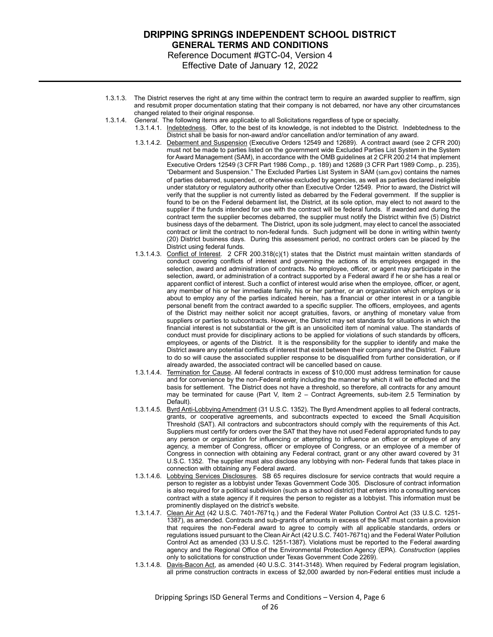### **DRIPPING SPRINGS INDEPENDENT SCHOOL DISTRICT GENERAL TERMS AND CONDITIONS** Reference Document #GTC-04, Version 4

Effective Date of January 12, 2022

- 1.3.1.3. The District reserves the right at any time within the contract term to require an awarded supplier to reaffirm, sign and resubmit proper documentation stating that their company is not debarred, nor have any other circumstances changed related to their original response.
- 1.3.1.4. *General*. The following items are applicable to all Solicitations regardless of type or specialty.
	- 1.3.1.4.1. Indebtedness. Offer, to the best of its knowledge, is not indebted to the District. Indebtedness to the District shall be basis for non-award and/or cancellation and/or termination of any award.
		- 1.3.1.4.2. Debarment and Suspension (Executive Orders 12549 and 12689). A contract award (see 2 CFR 200) must not be made to parties listed on the government wide Excluded Parties List System in the System for Award Management (SAM), in accordance with the OMB guidelines at 2 CFR 200.214 that implement Executive Orders 12549 (3 CFR Part 1986 Comp., p. 189) and 12689 (3 CFR Part 1989 Comp., p. 235), "Debarment and Suspension." The Excluded Parties List System in SAM ([sam.gov](https://www.sam.gov/portal/SAM/?portal:componentId=93cb3275-7b7f-4b70-8f2b-e481c50c376b&interactionstate=JBPNS_rO0ABXc0ABBfanNmQnJpZGdlVmlld0lkAAAAAQATL2pzZi9mdW5jdGlvbmFsLmpzcAAHX19FT0ZfXw**&portal:type=action)) contains the names of parties debarred, suspended, or otherwise excluded by agencies, as well as parties declared ineligible under statutory or regulatory authority other than Executive Order 12549. Prior to award, the District will verify that the supplier is not currently listed as debarred by the Federal government. If the supplier is found to be on the Federal debarment list, the District, at its sole option, may elect to not award to the supplier if the funds intended for use with the contract will be federal funds. If awarded and during the contract term the supplier becomes debarred, the supplier must notify the District within five (5) District business days of the debarment. The District, upon its sole judgment, may elect to cancel the associated contract or limit the contract to non-federal funds. Such judgment will be done in writing within twenty (20) District business days. During this assessment period, no contract orders can be placed by the District using federal funds.
		- 1.3.1.4.3. Conflict of Interest. 2 CFR 200.318(c)(1) states that the District must maintain written standards of conduct covering conflicts of interest and governing the actions of its employees engaged in the selection, award and administration of contracts. No employee, officer, or agent may participate in the selection, award, or administration of a contract supported by a Federal award if he or she has a real or apparent conflict of interest. Such a conflict of interest would arise when the employee, officer, or agent, any member of his or her immediate family, his or her partner, or an organization which employs or is about to employ any of the parties indicated herein, has a financial or other interest in or a tangible personal benefit from the contract awarded to a specific supplier. The officers, employees, and agents of the District may neither solicit nor accept gratuities, favors, or anything of monetary value from suppliers or parties to subcontracts. However, the District may set standards for situations in which the financial interest is not substantial or the gift is an unsolicited item of nominal value. The standards of conduct must provide for disciplinary actions to be applied for violations of such standards by officers, employees, or agents of the District. It is the responsibility for the supplier to identify and make the District aware any potential conflicts of interest that exist between their company and the District. Failure to do so will cause the associated supplier response to be disqualified from further consideration, or if already awarded, the associated contract will be cancelled based on cause.
		- 1.3.1.4.4. Termination for Cause. All federal contracts in excess of \$10,000 must address termination for cause and for convenience by the non-Federal entity including the manner by which it will be effected and the basis for settlement. The District does not have a threshold, so therefore, all contracts for any amount may be terminated for cause (Part V, Item 2 – Contract Agreements, sub-item 2.5 Termination by Default).
		- 1.3.1.4.5. Byrd Anti-Lobbying Amendment (31 U.S.C. 1352). The Byrd Amendment applies to all federal contracts, grants, or cooperative agreements, and subcontracts expected to exceed the Small Acquisition Threshold (SAT). All contractors and subcontractors should comply with the requirements of this Act. Suppliers must certify for orders over the SAT that they have not used Federal appropriated funds to pay any person or organization for influencing or attempting to influence an officer or employee of any agency, a member of Congress, officer or employee of Congress, or an employee of a member of Congress in connection with obtaining any Federal contract, grant or any other award covered by 31 U.S.C. 1352. The supplier must also disclose any lobbying with non- Federal funds that takes place in connection with obtaining any Federal award.
		- 1.3.1.4.6. Lobbying Services Disclosures. SB 65 requires disclosure for service contracts that would require a person to register as a lobbyist under Texas Government Code 305. Disclosure of contract information is also required for a political subdivision (such as a school district) that enters into a consulting services contract with a state agency if it requires the person to register as a lobbyist. This information must be prominently displayed on the district's website.
		- 1.3.1.4.7. Clean Air Act (42 U.S.C. 7401-7671q.) and the Federal Water Pollution Control Act (33 U.S.C. 1251-1387), as amended. Contracts and sub-grants of amounts in excess of the SAT must contain a provision that requires the non-Federal award to agree to comply with all applicable standards, orders or regulations issued pursuant to the Clean Air Act (42 U.S.C. 7401-7671q) and the Federal Water Pollution Control Act as amended (33 U.S.C. 1251-1387). Violations must be reported to the Federal awarding agency and the Regional Office of the Environmental Protection Agency (EPA). *Construction* (applies only to solicitations for construction under Texas Government Code 2269).
		- 1.3.1.4.8. Davis-Bacon Act, as amended (40 U.S.C. 3141-3148). When required by Federal program legislation, all prime construction contracts in excess of \$2,000 awarded by non-Federal entities must include a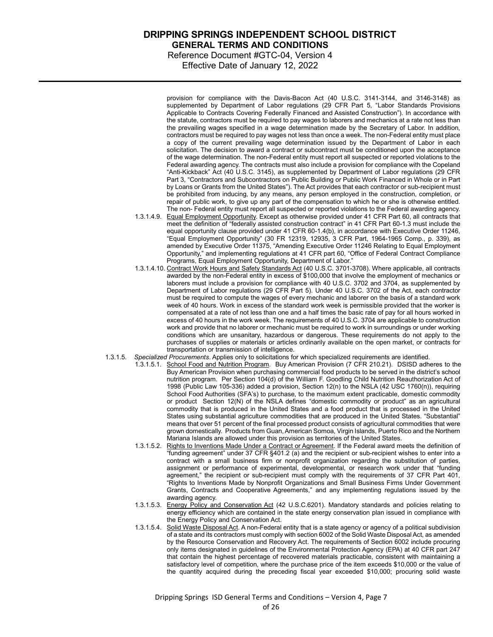### **DRIPPING SPRINGS INDEPENDENT SCHOOL DISTRICT GENERAL TERMS AND CONDITIONS** Reference Document #GTC-04, Version 4

Effective Date of January 12, 2022

provision for compliance with the Davis-Bacon Act (40 U.S.C. 3141-3144, and 3146-3148) as supplemented by Department of Labor regulations (29 CFR Part 5, "Labor Standards Provisions Applicable to Contracts Covering Federally Financed and Assisted Construction"). In accordance with the statute, contractors must be required to pay wages to laborers and mechanics at a rate not less than the prevailing wages specified in a wage determination made by the Secretary of Labor. In addition, contractors must be required to pay wages not less than once a week. The non-Federal entity must place a copy of the current prevailing wage determination issued by the Department of Labor in each solicitation. The decision to award a contract or subcontract must be conditioned upon the acceptance of the wage determination. The non-Federal entity must report all suspected or reported violations to the Federal awarding agency. The contracts must also include a provision for compliance with the Copeland "Anti-Kickback" Act (40 U.S.C. 3145), as supplemented by Department of Labor regulations (29 CFR Part 3, "Contractors and Subcontractors on Public Building or Public Work Financed in Whole or in Part by Loans or Grants from the United States"). The Act provides that each contractor or sub-recipient must be prohibited from inducing, by any means, any person employed in the construction, completion, or repair of public work, to give up any part of the compensation to which he or she is otherwise entitled. The non- Federal entity must report all suspected or reported violations to the Federal awarding agency.

- 1.3.1.4.9. Equal Employment Opportunity. Except as otherwise provided under 41 CFR Part 60, all contracts that meet the definition of "federally assisted construction contract" in 41 CFR Part 60-1.3 must include the equal opportunity clause provided under 41 CFR 60-1.4(b), in accordance with Executive Order 11246, "Equal Employment Opportunity" (30 FR 12319, 12935, 3 CFR Part, 1964-1965 Comp., p. 339), as amended by Executive Order 11375, "Amending Executive Order 11246 Relating to Equal Employment Opportunity," and implementing regulations at 41 CFR part 60, "Office of Federal Contract Compliance Programs, Equal Employment Opportunity, Department of Labor."
- 1.3.1.4.10. Contract Work Hours and Safety Standards Act (40 U.S.C. 3701-3708). Where applicable, all contracts awarded by the non-Federal entity in excess of \$100,000 that involve the employment of mechanics or laborers must include a provision for compliance with 40 U.S.C. 3702 and 3704, as supplemented by Department of Labor regulations (29 CFR Part 5). Under 40 U.S.C. 3702 of the Act, each contractor must be required to compute the wages of every mechanic and laborer on the basis of a standard work week of 40 hours. Work in excess of the standard work week is permissible provided that the worker is compensated at a rate of not less than one and a half times the basic rate of pay for all hours worked in excess of 40 hours in the work week. The requirements of 40 U.S.C. 3704 are applicable to construction work and provide that no laborer or mechanic must be required to work in surroundings or under working conditions which are unsanitary, hazardous or dangerous. These requirements do not apply to the purchases of supplies or materials or articles ordinarily available on the open market, or contracts for transportation or transmission of intelligence.
- 1.3.1.5. *Specialized Procurements*. Applies only to solicitations for which specialized requirements are identified.
	- 1.3.1.5.1. School Food and Nutrition Program. Buy American Provision (7 CFR 210.21). DSISD adheres to the Buy American Provision when purchasing commercial food products to be served in the district's school nutrition program. Per Section 104(d) of the William F. Goodling Child Nutrition Reauthorization Act of 1998 (Public Law 105-336) added a provision, Section 12(n) to the NSLA (42 USC 1760(n)), requiring School Food Authorities (SFA's) to purchase, to the maximum extent practicable, domestic commodity or product Section 12(N) of the NSLA defines "domestic commodity or product" as an agricultural commodity that is produced in the United States and a food product that is processed in the United States using substantial agriculture commodities that are produced in the United States. "Substantial" means that over 51 percent of the final processed product consists of agricultural commodities that were grown domestically. Products from Guan, American Somoa, Virgin Islands, Puerto Rico and the Northern Mariana Islands are allowed under this provision as territories of the United States.
	- 1.3.1.5.2. Rights to Inventions Made Under a Contract or Agreement. If the Federal award meets the definition of "funding agreement" under 37 CFR §401.2 (a) and the recipient or sub-recipient wishes to enter into a contract with a small business firm or nonprofit organization regarding the substitution of parties, assignment or performance of experimental, developmental, or research work under that "funding agreement," the recipient or sub-recipient must comply with the requirements of 37 CFR Part 401, "Rights to Inventions Made by Nonprofit Organizations and Small Business Firms Under Government Grants, Contracts and Cooperative Agreements," and any implementing regulations issued by the awarding agency.
	- 1.3.1.5.3. Energy Policy and Conservation Act (42 U.S.C.6201). Mandatory standards and policies relating to energy efficiency which are contained in the state energy conservation plan issued in compliance with the Energy Policy and Conservation Act.
	- 1.3.1.5.4. Solid Waste Disposal Act. A non-Federal entity that is a state agency or agency of a political subdivision of a state and its contractors must comply with section 6002 of the Solid Waste Disposal Act, as amended by the Resource Conservation and Recovery Act. The requirements of Section 6002 include procuring only items designated in guidelines of the Environmental Protection Agency (EPA) at 40 CFR part 247 that contain the highest percentage of recovered materials practicable, consistent with maintaining a satisfactory level of competition, where the purchase price of the item exceeds \$10,000 or the value of the quantity acquired during the preceding fiscal year exceeded \$10,000; procuring solid waste

Dripping Springs ISD General Terms and Conditions – Version 4, Page 7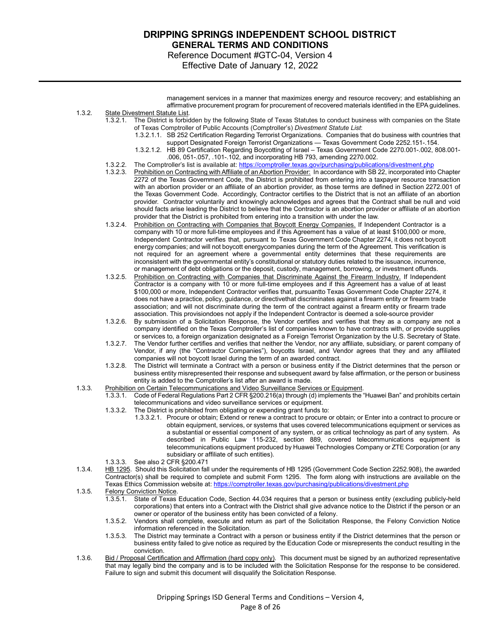Reference Document #GTC-04, Version 4 Effective Date of January 12, 2022

management services in a manner that maximizes energy and resource recovery; and establishing an affirmative procurement program for procurement of recovered materials identified in the EPA guidelines.

### 1.3.2. State Divestment Statute List.

- 1.3.2.1. The District is forbidden by the following State of Texas Statutes to conduct business with companies on the State of Texas Comptroller of Public Accounts (Comptroller's) *Divestment Statute List*:
	- 1.3.2.1.1. SB 252 Certification Regarding Terrorist Organizations. Companies that do business with countries that support Designated Foreign Terrorist Organizations — Texas Government Code 2252.151-.154.
	- 1.3.2.1.2. HB 89 Certification Regarding Boycotting of Israel Texas Government Code 2270.001-.002, 808.001- .006, 051-.057, .101-.102, and incorporating HB 793, amending 2270.002.
- 1.3.2.2. The Comptroller's list is available at:<https://comptroller.texas.gov/purchasing/publications/divestment.php><br>1.3.2.3. Prohibition on Contracting with Affiliate of an Abortion Provider: In accordance with SB 22, in
- Prohibition on Contracting with Affiliate of an Abortion Provider: In accordance with SB 22, incorporated into Chapter 2272 of the Texas Government Code, the District is prohibited from entering into a taxpayer resource transaction with an abortion provider or an affiliate of an abortion provider, as those terms are defined in Section 2272.001 of the Texas Government Code. Accordingly, Contractor certifies to the District that is not an affiliate of an abortion provider. Contractor voluntarily and knowingly acknowledges and agrees that the Contract shall be null and void should facts arise leading the District to believe that the Contractor is an abortion provider or affiliate of an abortion provider that the District is prohibited from entering into a transition with under the law.
- 1.3.2.4. Prohibition on Contracting with Companies that Boycott Energy Companies. If Independent Contractor is a company with 10 or more full-time employees and if this Agreement has a value of at least \$100,000 or more, Independent Contractor verifies that, pursuant to Texas Government Code Chapter 2274, it does not boycott energy companies; and will not boycott energycompanies during the term of the Agreement. This verification is not required for an agreement where a governmental entity determines that these requirements are inconsistent with the governmental entity's constitutional or statutory duties related to the issuance, incurrence, or management of debt obligations or the deposit, custody, management, borrowing, or investment offunds.
- 1.3.2.5. Prohibition on Contracting with Companies that Discriminate Against the Firearm Industry. If Independent Contractor is a company with 10 or more full-time employees and if this Agreement has a value of at least \$100,000 or more, Independent Contractor verifies that, pursuantto Texas Government Code Chapter 2274, it does not have a practice, policy, guidance, or directivethat discriminates against a firearm entity or firearm trade association; and will not discriminate during the term of the contract against a firearm entity or firearm trade association. This provisiondoes not apply if the Independent Contractor is deemed a sole-source provider
- 1.3.2.6. By submission of a Solicitation Response, the Vendor certifies and verifies that they as a company are not a company identified on the Texas Comptroller's list of companies known to have contracts with, or provide supplies or services to, a foreign organization designated as a Foreign Terrorist Organization by the U.S. Secretary of State.
- 1.3.2.7. The Vendor further certifies and verifies that neither the Vendor, nor any affiliate, subsidiary, or parent company of Vendor, if any (the "Contractor Companies"), boycotts Israel, and Vendor agrees that they and any affiliated companies will not boycott Israel during the term of an awarded contract.
- 1.3.2.8. The District will terminate a Contract with a person or business entity if the District determines that the person or business entity misrepresented their response and subsequent award by false affirmation, or the person or business entity is added to the Comptroller's list after an award is made.

#### 1.3.3. Prohibition on Certain Telecommunications and Video Surveillance Services or Equipment.

- 1.3.3.1. Code of Federal Regulations Part 2 CFR §200.216(a) through (d) implements the "Huawei Ban" and prohibits certain telecommunications and video surveillance services or equipment.
	- 1.3.3.2. The District is prohibited from obligating or expending grant funds to:
		- 1.3.3.2.1. Procure or obtain; Extend or renew a contract to procure or obtain; or Enter into a contract to procure or obtain equipment, services, or systems that uses covered telecommunications equipment or services as a substantial or essential component of any system, or as critical technology as part of any system. As described in Public Law 115-232, section 889, covered telecommunications equipment is telecommunications equipment produced by Huawei Technologies Company or ZTE Corporation (or any subsidiary or affiliate of such entities).
	- 1.3.3.3. See also 2 CFR §200.471
- 1.3.4. HB 1295. Should this Solicitation fall under the requirements of HB 1295 (Government Code Section 2252.908), the awarded Contractor(s) shall be required to complete and submit Form 1295. The form along with instructions are available on the Texas Ethics Commission website at[: https://comptroller.texas.gov/purchasing/publications/divestment.php](https://comptroller.texas.gov/purchasing/publications/divestment.php)
- 1.3.5. Felony Conviction Notice.<br>1.3.5.1. State of Texas
	- State of Texas Education Code, Section 44.034 requires that a person or business entity (excluding publicly-held corporations) that enters into a Contract with the District shall give advance notice to the District if the person or an owner or operator of the business entity has been convicted of a felony.
	- 1.3.5.2. Vendors shall complete, execute and return as part of the Solicitation Response, the Felony Conviction Notice information referenced in the Solicitation.
	- 1.3.5.3. The District may terminate a Contract with a person or business entity if the District determines that the person or business entity failed to give notice as required by the Education Code or misrepresents the conduct resulting in the conviction.
- 1.3.6. Bid / Proposal Certification and Affirmation (hard copy only). This document must be signed by an authorized representative that may legally bind the company and is to be included with the Solicitation Response for the response to be considered. Failure to sign and submit this document will disqualify the Solicitation Response.

Dripping Springs ISD General Terms and Conditions – Version 4, Page 8 of 26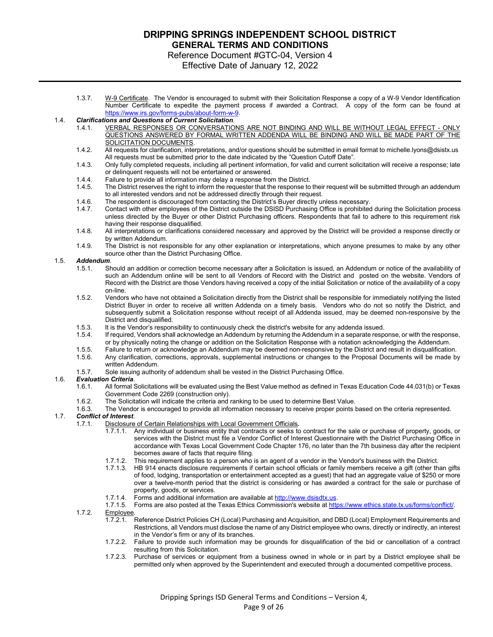### Reference Document #GTC-04, Version 4

Effective Date of January 12, 2022

1.3.7. W-9 Certificate. The Vendor is encouraged to submit with their Solicitation Response a copy of a W-9 Vendor Identification Number Certificate to expedite the payment process if awarded a Contract. A copy of the form can be found at [https://www.irs.gov/forms-pubs/about-form-w-9.](https://www.irs.gov/forms-pubs/about-form-w-9)

#### 1.4. *Clarifications and Questions of Current Solicitation*.

- 1.4.1. VERBAL RESPONSES OR CONVERSATIONS ARE NOT BINDING AND WILL BE WITHOUT LEGAL EFFECT ONLY QUESTIONS ANSWERED BY FORMAL WRITTEN ADDENDA WILL BE BINDING AND WILL BE MADE PART OF THE SOLICITATION DOCUMENTS.
- 1.4.2. All requests for clarification, interpretations, and/or questions should be submitted in email format to michelle.lyons@dsistx.us All requests must be submitted prior to the date indicated by the "Question Cutoff Date".
- 1.4.3. Only fully completed requests, including all pertinent information, for valid and current solicitation will receive a response; late or delinquent requests will not be entertained or answered.
- 1.4.4. Failure to provide all information may delay a response from the District.
- 1.4.5. The District reserves the right to inform the requester that the response to their request will be submitted through an addendum to all interested vendors and not be addressed directly through their request.
- 1.4.6. The respondent is discouraged from contacting the District's Buyer directly unless necessary.<br>1.4.7 Contact with other employees of the District outside the DSISD Purchasing Office is prohibited
- 1.4.7. Contact with other employees of the District outside the DSISD Purchasing Office is prohibited during the Solicitation process unless directed by the Buyer or other District Purchasing officers. Respondents that fail to adhere to this requirement risk having their response disqualified.
- 1.4.8. All interpretations or clarifications considered necessary and approved by the District will be provided a response directly or by written Addendum.
- 1.4.9. The District is not responsible for any other explanation or interpretations, which anyone presumes to make by any other source other than the District Purchasing Office.

### 1.5. *Addendum*.

- 1.5.1. Should an addition or correction become necessary after a Solicitation is issued, an Addendum or notice of the availability of such an Addendum online will be sent to all Vendors of Record with the District and posted on the website. Vendors of Record with the District are those Vendors having received a copy of the initial Solicitation or notice of the availability of a copy on-line.
- 1.5.2. Vendors who have not obtained a Solicitation directly from the District shall be responsible for immediately notifying the listed District Buyer in order to receive all written Addenda on a timely basis. Vendors who do not so notify the District, and subsequently submit a Solicitation response without receipt of all Addenda issued, may be deemed non-responsive by the District and disqualified.
- 1.5.3. It is the Vendor's responsibility to continuously check the district's website for any addenda issued.<br>1.5.4. If required, Vendors shall acknowledge an Addendum by returning the Addendum in a separate resp
- If required, Vendors shall acknowledge an Addendum by returning the Addendum in a separate response, or with the response, or by physically noting the change or addition on the Solicitation Response with a notation acknowledging the Addendum.
- 
- 1.5.5. Failure to return or acknowledge an Addendum may be deemed non-responsive by the District and result in disqualification. Any clarification, corrections, approvals, supplemental instructions or changes to the Proposal Documents will be made by written Addendum.
- 1.5.7. Sole issuing authority of addendum shall be vested in the District Purchasing Office.

## 1.6. *Evaluation Criteria*.

- 1.6.1. All formal Solicitations will be evaluated using the Best Value method as defined in Texas Education Code 44.031(b) or Texas Government Code 2269 (construction only).
- 1.6.2. The Solicitation will indicate the criteria and ranking to be used to determine Best Value.
- 1.6.3. The Vendor is encouraged to provide all information necessary to receive proper points based on the criteria represented.

#### 1.7. *Conflict of Interest*.

- 1.7.1. Disclosure of Certain Relationships with Local Government Officials*.*
	- 1.7.1.1. Any individual or business entity that contracts or seeks to contract for the sale or purchase of property, goods, or services with the District must file a Vendor Conflict of Interest Questionnaire with the District Purchasing Office in accordance with Texas Local Government Code Chapter 176, no later than the 7th business day after the recipient becomes aware of facts that require filing.
	- 1.7.1.2. This requirement applies to a person who is an agent of a vendor in the Vendor's business with the District.
	- 1.7.1.3. HB 914 enacts disclosure requirements if certain school officials or family members receive a gift (other than gifts of food, lodging, transportation or entertainment accepted as a guest) that had an aggregate value of \$250 or more over a twelve-month period that the district is considering or has awarded a contract for the sale or purchase of property, goods, or services.
	-
	- 1.7.1.4. Forms and additional information are available at [http://www.](http://www.ltisdschools.org/)dsisdtx.us.<br>1.7.1.5. Forms are also posted at the Texas Ethics Commission's website at http Forms are also posted at the Texas Ethics Commission's website at https://www.ethics.state.tx.us/forms/conflict/.
- 1.7.2. Employee.
	- 1.7.2.1. Reference District Policies CH (Local) Purchasing and Acquisition, and DBD (Local) Employment Requirements and Restrictions, all Vendors must disclose the name of any District employee who owns, directly or indirectly, an interest in the Vendor's firm or any of its branches.
	- 1.7.2.2. Failure to provide such information may be grounds for disqualification of the bid or cancellation of a contract resulting from this Solicitation.
	- 1.7.2.3. Purchase of services or equipment from a business owned in whole or in part by a District employee shall be permitted only when approved by the Superintendent and executed through a documented competitive process.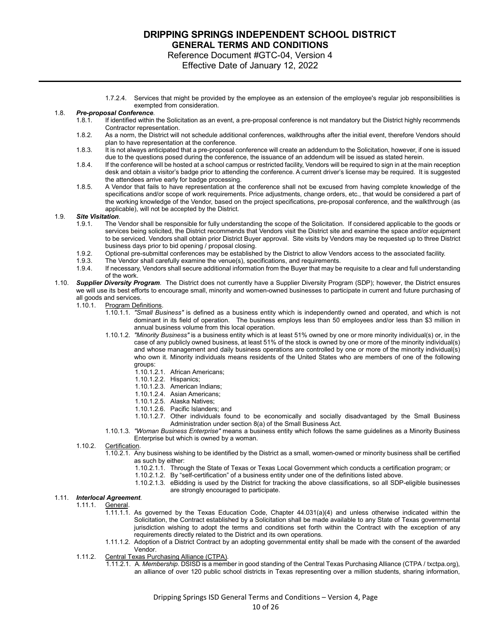Reference Document #GTC-04, Version 4

- Effective Date of January 12, 2022
- 1.7.2.4. Services that might be provided by the employee as an extension of the employee's regular job responsibilities is exempted from consideration.

#### 1.8. *Pre-proposal Conference*.

- 1.8.1. If identified within the Solicitation as an event, a pre-proposal conference is not mandatory but the District highly recommends Contractor representation.
- 1.8.2. As a norm, the District will not schedule additional conferences, walkthroughs after the initial event, therefore Vendors should plan to have representation at the conference.
- 1.8.3. It is not always anticipated that a pre-proposal conference will create an addendum to the Solicitation, however, if one is issued due to the questions posed during the conference, the issuance of an addendum will be issued as stated herein.
- 1.8.4. If the conference will be hosted at a school campus or restricted facility, Vendors will be required to sign in at the main reception desk and obtain a visitor's badge prior to attending the conference. A current driver's license may be required. It is suggested the attendees arrive early for badge processing.
- 1.8.5. A Vendor that fails to have representation at the conference shall not be excused from having complete knowledge of the specifications and/or scope of work requirements. Price adjustments, change orders, etc., that would be considered a part of the working knowledge of the Vendor, based on the project specifications, pre-proposal conference, and the walkthrough (as applicable), will not be accepted by the District.

#### 1.9. *Site Visitation*.

- 1.9.1. The Vendor shall be responsible for fully understanding the scope of the Solicitation. If considered applicable to the goods or services being solicited, the District recommends that Vendors visit the District site and examine the space and/or equipment to be serviced. Vendors shall obtain prior District Buyer approval. Site visits by Vendors may be requested up to three District business days prior to bid opening / proposal closing.
- 1.9.2. Optional pre-submittal conferences may be established by the District to allow Vendors access to the associated facility.
- The Vendor shall carefully examine the venue(s), specifications, and requirements.
- 1.9.4. If necessary, Vendors shall secure additional information from the Buyer that may be requisite to a clear and full understanding of the work.
- 1.10. *Supplier Diversity Program.* The District does not currently have a Supplier Diversity Program (SDP); however, the District ensures we will use its best efforts to encourage small, minority and women-owned businesses to participate in current and future purchasing of all goods and services.<br>1.10.1. Program Def
	- **Program Definitions.** 
		- 1.10.1.1. *"Small Business"* is defined as a business entity which is independently owned and operated, and which is not dominant in its field of operation. The business employs less than 50 employees and/or less than \$3 million in annual business volume from this local operation.
		- 1.10.1.2. *"Minority Business"* is a business entity which is at least 51% owned by one or more minority individual(s) or, in the case of any publicly owned business, at least 51% of the stock is owned by one or more of the minority individual(s) and whose management and daily business operations are controlled by one or more of the minority individual(s) who own it. Minority individuals means residents of the United States who are members of one of the following groups:
			- 1.10.1.2.1. African Americans;
			- 1.10.1.2.2. Hispanics;
			- 1.10.1.2.3. American Indians;
			- 1.10.1.2.4. Asian Americans;
			- 1.10.1.2.5. Alaska Natives;
			- 1.10.1.2.6. Pacific Islanders; and
			- 1.10.1.2.7. Other individuals found to be economically and socially disadvantaged by the Small Business Administration under section 8(a) of the Small Business Act.
		- 1.10.1.3. *"Woman Business Enterprise"* means a business entity which follows the same guidelines as a Minority Business Enterprise but which is owned by a woman.
	- 1.10.2. Certification.
		- 1.10.2.1. Any business wishing to be identified by the District as a small, women-owned or minority business shall be certified as such by either:
			- 1.10.2.1.1. Through the State of Texas or Texas Local Government which conducts a certification program; or
			- 1.10.2.1.2. By "self-certification" of a business entity under one of the definitions listed above.
			- 1.10.2.1.3. eBidding is used by the District for tracking the above classifications, so all SDP-eligible businesses are strongly encouraged to participate.

#### 1.11. *Interlocal Agreement*.

- 1.11.1. **General.** 
	- 1.11.1.1. As governed by the Texas Education Code, Chapter 44.031(a)(4) and unless otherwise indicated within the Solicitation, the Contract established by a Solicitation shall be made available to any State of Texas governmental jurisdiction wishing to adopt the terms and conditions set forth within the Contract with the exception of any requirements directly related to the District and its own operations.
	- 1.11.1.2. Adoption of a District Contract by an adopting governmental entity shall be made with the consent of the awarded Vendor.
- 1.11.2. Central Texas Purchasing Alliance (CTPA).
	- 1.11.2.1. A*. Membership*. DSISD is a member in good standing of the Central Texas Purchasing Alliance [\(CTPA](http://www.txctpa.org/) / [txctpa.org\)](http://txctpa.org/), an alliance of over 120 public school districts in Texas representing over a million students, sharing information,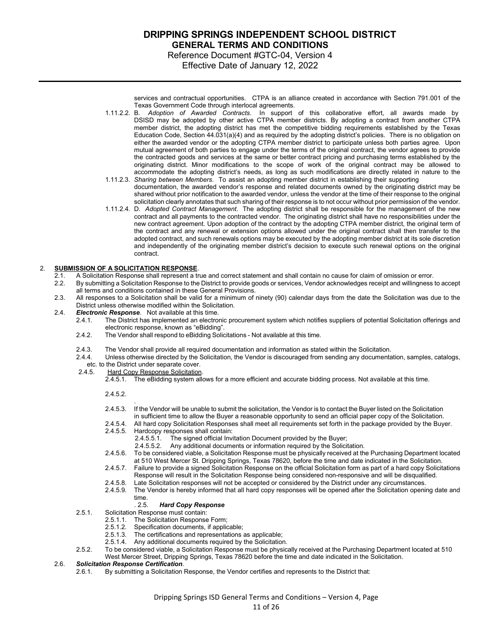### **DRIPPING SPRINGS INDEPENDENT SCHOOL DISTRICT GENERAL TERMS AND CONDITIONS** Reference Document #GTC-04, Version 4

Effective Date of January 12, 2022

services and contractual opportunities. CTPA is an alliance created in accordance with Section 791.001 of the Texas Government Code through interlocal agreements.

- 1.11.2.2. B*. Adoption of Awarded Contracts*. In support of this collaborative effort, all awards made by DSISD may be adopted by other active CTPA member districts. By adopting a contract from another CTPA member district, the adopting district has met the competitive bidding requirements established by the Texas Education Code, Section 44.031(a)(4) and as required by the adopting district's policies. There is no obligation on either the awarded vendor or the adopting CTPA member district to participate unless both parties agree. Upon mutual agreement of both parties to engage under the terms of the original contract, the vendor agrees to provide the contracted goods and services at the same or better contract pricing and purchasing terms established by the originating district. Minor modifications to the scope of work of the original contract may be allowed to accommodate the adopting district's needs, as long as such modifications are directly related in nature to the
- 1.11.2.3. *Sharing between Members*. To assist an adopting member district in establishing their supporting documentation, the awarded vendor's response and related documents owned by the originating district may be shared without prior notification to the awarded vendor, unless the vendor at the time of their response to the original solicitation clearly annotates that such sharing of their response is to not occur without prior permission of the vendor.
- 1.11.2.4. D*. Adopted Contract Management*. The adopting district shall be responsible for the management of the new contract and all payments to the contracted vendor. The originating district shall have no responsibilities under the new contract agreement. Upon adoption of the contract by the adopting CTPA member district, the original term of the contract and any renewal or extension options allowed under the original contract shall then transfer to the adopted contract, and such renewals options may be executed by the adopting member district at its sole discretion and independently of the originating member district's decision to execute such renewal options on the original contract.

#### 2. **SUBMISSION OF A SOLICITATION RESPONSE**.

- 2.1. A Solicitation Response shall represent a true and correct statement and shall contain no cause for claim of omission or error.<br>2.2. By submitting a Solicitation Response to the District to provide goods or services.
- 2.2. By submitting a Solicitation Response to the District to provide goods or services, Vendor acknowledges receipt and willingness to accept all terms and conditions contained in these General Provisions.
- 2.3. All responses to a Solicitation shall be valid for a minimum of ninety (90) calendar days from the date the Solicitation was due to the District unless otherwise modified within the Solicitation.
- 2.4. *Electronic Response*. Not available at this time.
	- The District has implemented an electronic procurement system which notifies suppliers of potential Solicitation offerings and electronic response, known as "eBidding".
	- 2.4.2. The Vendor shall respond to eBidding Solicitations Not available at this time.
	- 2.4.3. The Vendor shall provide all required documentation and information as stated within the Solicitation.<br>2.4.4. Unless otherwise directed by the Solicitation, the Vendor is discouraged from sending any documenta
	- 2.4.4. Unless otherwise directed by the Solicitation, the Vendor is discouraged from sending any documentation, samples, catalogs, etc. to the District under separate cover.<br>2.4.5. Hard Copy Response Solicitation
		- Hard Copy Response Solicitation.

.

2.4.5.1. The eBidding system allows for a more efficient and accurate bidding process. Not available at this time.

2.4.5.2.

- 2.4.5.3. If the Vendor will be unable to submit the solicitation, the Vendor is to contact the Buyer listed on the Solicitation in sufficient time to allow the Buyer a reasonable opportunity to send an official paper copy of the Solicitation.
- 2.4.5.4. All hard copy Solicitation Responses shall meet all requirements set forth in the package provided by the Buyer.<br>2.4.5.5. Hardcopy responses shall contain:
- Hardcopy responses shall contain:
	-
	- 2.4.5.5.1. The signed official Invitation Document provided by the Buyer;<br>2.4.5.5.2. Any additional documents or information required by the Solici Any additional documents or information required by the Solicitation.
- 2.4.5.6. To be considered viable, a Solicitation Response must be physically received at the Purchasing Department located at 510 West Mercer St. Dripping Springs, Texas 78620, before the time and date indicated in the Solicitation.
- 2.4.5.7. Failure to provide a signed Solicitation Response on the official Solicitation form as part of a hard copy Solicitations Response will result in the Solicitation Response being considered non-responsive and will be disqualified.
- 2.4.5.8. Late Solicitation responses will not be accepted or considered by the District under any circumstances.
- 2.4.5.9. The Vendor is hereby informed that all hard copy responses will be opened after the Solicitation opening date and time.<br> $.2.5.$

#### . 2.5. *Hard Copy Response*

- 2.5.1. Solicitation Response must contain:
	- 2.5.1.1. The Solicitation Response Form;<br>2.5.1.2. Specification documents, if applic
	- 2.5.1.2. Specification documents, if applicable;<br>2.5.1.3. The certifications and representations
	- The certifications and representations as applicable;
	- 2.5.1.4. Any additional documents required by the Solicitation.
- 2.5.2. To be considered viable, a Solicitation Response must be physically received at the Purchasing Department located at 510 West Mercer Street, Dripping Springs, Texas 78620 before the time and date indicated in the Solicitation.

# 2.6. *Solicitation Response Certification*.

2.6.1. By submitting a Solicitation Response, the Vendor certifies and represents to the District that: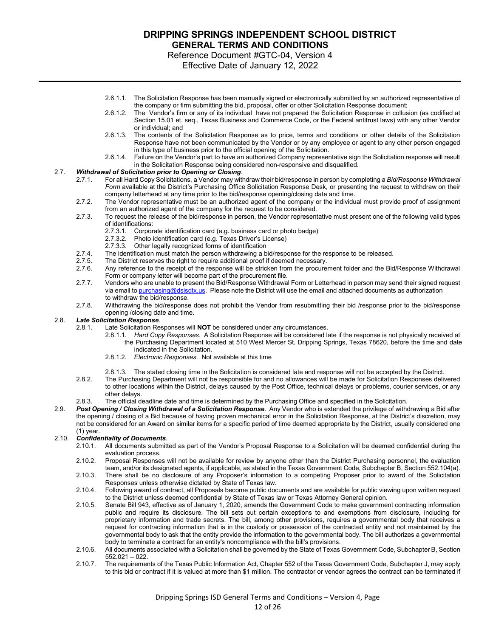Reference Document #GTC-04, Version 4

Effective Date of January 12, 2022

- 2.6.1.1. The Solicitation Response has been manually signed or electronically submitted by an authorized representative of the company or firm submitting the bid, proposal, offer or other Solicitation Response document;
- 2.6.1.2. The Vendor's firm or any of its individual have not prepared the Solicitation Response in collusion (as codified at Section 15.01 et. seq., Texas Business and Commerce Code, or the Federal antitrust laws) with any other Vendor or individual; and
- 2.6.1.3. The contents of the Solicitation Response as to price, terms and conditions or other details of the Solicitation Response have not been communicated by the Vendor or by any employee or agent to any other person engaged in this type of business prior to the official opening of the Solicitation.
- 2.6.1.4. Failure on the Vendor's part to have an authorized Company representative sign the Solicitation response will result in the Solicitation Response being considered non-responsive and disqualified.

### 2.7. *Withdrawal of Solicitation prior to Opening or Closing*.

- 2.7.1. For all Hard Copy Solicitations, a Vendor may withdraw their bid/response in person by completing a *Bid/Response Withdrawal Form* available at the District's Purchasing Office Solicitation Response Desk, or presenting the request to withdraw on their company letterhead at any time prior to the bid/response opening/closing date and time.
- 2.7.2. The Vendor representative must be an authorized agent of the company or the individual must provide proof of assignment from an authorized agent of the company for the request to be considered.
- 2.7.3. To request the release of the bid/response in person, the Vendor representative must present one of the following valid types of identifications:
	- 2.7.3.1. Corporate identification card (e.g. business card or photo badge)
	- 2.7.3.2. Photo identification card (e.g. Texas Driver's License)<br>2.7.3.3. Other legally recognized forms of identification
	- Other legally recognized forms of identification
- 2.7.4. The identification must match the person withdrawing a bid/response for the response to be released.<br>2.7.5. The District reserves the right to require additional proof if deemed necessary.
- The District reserves the right to require additional proof if deemed necessary.
- 2.7.6. Any reference to the receipt of the response will be stricken from the procurement folder and the Bid/Response Withdrawal Form or company letter will become part of the procurement file.
- 2.7.7. Vendors who are unable to present the Bid/Response Withdrawal Form or Letterhead in person may send their signed request via email to [purchasing@](mailto:purchasing@ltisdschools.org)dsisdtx.us. Please note the District will use the email and attached documents as authorization to withdraw the bid/response.
- 2.7.8. Withdrawing the bid/response does not prohibit the Vendor from resubmitting their bid /response prior to the bid/response opening /closing date and time.

# 2.8. *Late Solicitation Response*.

- Late Solicitation Responses will **NOT** be considered under any circumstances.
	- 2.8.1.1. *Hard Copy Responses*. A Solicitation Response will be considered late if the response is not physically received at the Purchasing Department located at 510 West Mercer St, Dripping Springs, Texas 78620, before the time and date indicated in the Solicitation.
	- 2.8.1.2. *Electronic Responses*. Not available at this time
	- 2.8.1.3. The stated closing time in the Solicitation is considered late and response will not be accepted by the District.
- 2.8.2. The Purchasing Department will not be responsible for and no allowances will be made for Solicitation Responses delivered to other locations within the District, delays caused by the Post Office, technical delays or problems, courier services, or any other delays.
- 2.8.3. The official deadline date and time is determined by the Purchasing Office and specified in the Solicitation.
- 2.9. *Post Opening / Closing Withdrawal of a Solicitation Response*. Any Vendor who is extended the privilege of withdrawing a Bid after the opening / closing of a Bid because of having proven mechanical error in the Solicitation Response, at the District's discretion, may not be considered for an Award on similar items for a specific period of time deemed appropriate by the District, usually considered one (1) year.

# 2.10. *Confidentiality of Documents*.

- 2.10.1. All documents submitted as part of the Vendor's Proposal Response to a Solicitation will be deemed confidential during the evaluation process.
- 2.10.2. Proposal Responses will not be available for review by anyone other than the District Purchasing personnel, the evaluation team, and/or its designated agents, if applicable, as stated in the Texas Government Code, Subchapter B, Section 552.104(a).
- 2.10.3. There shall be no disclosure of any Proposer's information to a competing Proposer prior to award of the Solicitation Responses unless otherwise dictated by State of Texas law.
- 2.10.4. Following award of contract, all Proposals become public documents and are available for public viewing upon written request to the District unless deemed confidential by State of Texas law or Texas Attorney General opinion.
- 2.10.5. Senate Bill 943, effective as of January 1, 2020, amends the Government Code to make government contracting information public and require its disclosure. The bill sets out certain exceptions to and exemptions from disclosure, including for proprietary information and trade secrets. The bill, among other provisions, requires a governmental body that receives a request for contracting information that is in the custody or possession of the contracted entity and not maintained by the governmental body to ask that the entity provide the information to the governmental body. The bill authorizes a governmental body to terminate a contract for an entity's noncompliance with the bill's provisions.
- 2.10.6. All documents associated with a Solicitation shall be governed by the State of Texas Government Code, Subchapter B, Section 552.021 – 022.
- 2.10.7. The requirements of the Texas Public Information Act, Chapter 552 of the Texas Government Code, Subchapter J, may apply to this bid or contract if it is valued at more than \$1 million. The contractor or vendor agrees the contract can be terminated if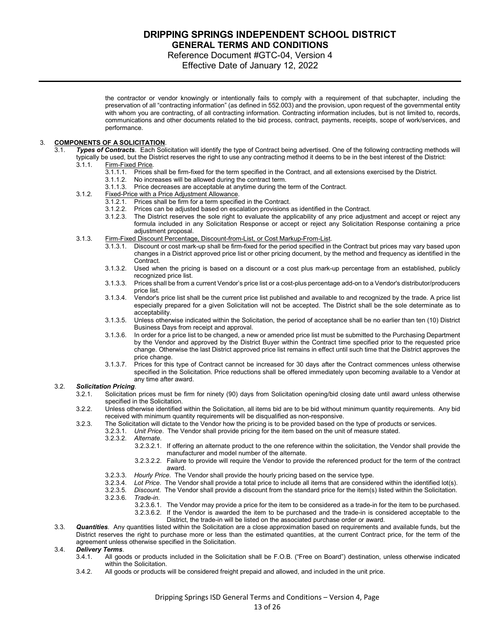### Reference Document #GTC-04, Version 4

Effective Date of January 12, 2022

the contractor or vendor knowingly or intentionally fails to comply with a requirement of that subchapter, including the preservation of all "contracting information" (as defined in 552.003) and the provision, upon request of the governmental entity with whom you are contracting, of all contracting information. Contracting information includes, but is not limited to, records, communications and other documents related to the bid process, contract, payments, receipts, scope of work/services, and performance.

### 3. **COMPONENTS OF A SOLICITATION**.

- 3.1. *Types of Contracts*. Each Solicitation will identify the type of Contract being advertised. One of the following contracting methods will typically be used, but the District reserves the right to use any contracting method it deems to be in the best interest of the District:
	- 3.1.1. Firm-Fixed Price*.*
		- 3.1.1.1. Prices shall be firm-fixed for the term specified in the Contract, and all extensions exercised by the District.
		- 3.1.1.2. No increases will be allowed during the contract term.
		- 3.1.1.3. Price decreases are acceptable at anytime during the term of the Contract.
	- 3.1.2. Fixed-Price with a Price Adjustment Allowance.
		- 3.1.2.1. Prices shall be firm for a term specified in the Contract.<br>3.1.2.2. Prices can be adiusted based on escalation provisions
			- Prices can be adjusted based on escalation provisions as identified in the Contract.
		- 3.1.2.3. The District reserves the sole right to evaluate the applicability of any price adjustment and accept or reject any formula included in any Solicitation Response or accept or reject any Solicitation Response containing a price adjustment proposal.
	- 3.1.3. Firm-Fixed Discount Percentage, Discount-from-List, or Cost Markup-From-List.
		- 3.1.3.1. Discount or cost mark-up shall be firm-fixed for the period specified in the Contract but prices may vary based upon changes in a District approved price list or other pricing document, by the method and frequency as identified in the Contract.
		- 3.1.3.2. Used when the pricing is based on a discount or a cost plus mark-up percentage from an established, publicly recognized price list.
		- 3.1.3.3. Prices shall be from a current Vendor's price list or a cost-plus percentage add-on to a Vendor's distributor/producers price list.
		- 3.1.3.4. Vendor's price list shall be the current price list published and available to and recognized by the trade. A price list especially prepared for a given Solicitation will not be accepted. The District shall be the sole determinate as to acceptability.
		- 3.1.3.5. Unless otherwise indicated within the Solicitation, the period of acceptance shall be no earlier than ten (10) District Business Days from receipt and approval.
		- 3.1.3.6. In order for a price list to be changed, a new or amended price list must be submitted to the Purchasing Department by the Vendor and approved by the District Buyer within the Contract time specified prior to the requested price change. Otherwise the last District approved price list remains in effect until such time that the District approves the price change.
		- 3.1.3.7. Prices for this type of Contract cannot be increased for 30 days after the Contract commences unless otherwise specified in the Solicitation. Price reductions shall be offered immediately upon becoming available to a Vendor at any time after award.

#### 3.2. *Solicitation Pricing*.

- 3.2.1. Solicitation prices must be firm for ninety (90) days from Solicitation opening/bid closing date until award unless otherwise specified in the Solicitation.
- 3.2.2. Unless otherwise identified within the Solicitation, all items bid are to be bid without minimum quantity requirements. Any bid received with minimum quantity requirements will be disqualified as non-responsive.
- 3.2.3. The Solicitation will dictate to the Vendor how the pricing is to be provided based on the type of products or services.
	- 3.2.3.1. *Unit Price*. The Vendor shall provide pricing for the item based on the unit of measure stated.
		- 3.2.3.2. *Alternate*.
			- 3.2.3.2.1. If offering an alternate product to the one reference within the solicitation, the Vendor shall provide the manufacturer and model number of the alternate.
			- 3.2.3.2.2. Failure to provide will require the Vendor to provide the referenced product for the term of the contract award.
		- 3.2.3.3. *Hourly Price*. The Vendor shall provide the hourly pricing based on the service type.
		- 3.2.3.4. *Lot Price*. The Vendor shall provide a total price to include all items that are considered within the identified lot(s).
		- 3.2.3.5. *Discount*. The Vendor shall provide a discount from the standard price for the item(s) listed within the Solicitation.
		- 3.2.3.6. *Trade-in*.
			- 3.2.3.6.1. The Vendor may provide a price for the item to be considered as a trade-in for the item to be purchased.
			- 3.2.3.6.2. If the Vendor is awarded the item to be purchased and the trade-in is considered acceptable to the
				- District, the trade-in will be listed on the associated purchase order or award.
- 3.3. *Quantities*. Any quantities listed within the Solicitation are a close approximation based on requirements and available funds, but the District reserves the right to purchase more or less than the estimated quantities, at the current Contract price, for the term of the agreement unless otherwise specified in the Solicitation.

# 3.4. *Delivery Terms*.

- 3.4.1. All goods or products included in the Solicitation shall be F.O.B. ("Free on Board") destination, unless otherwise indicated within the Solicitation.
- 3.4.2. All goods or products will be considered freight prepaid and allowed, and included in the unit price.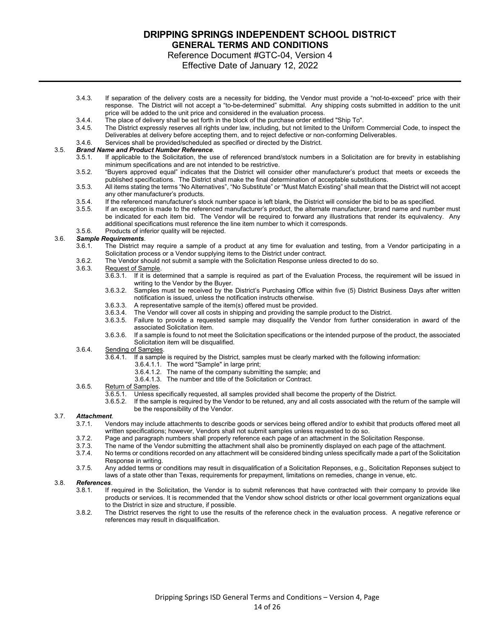Reference Document #GTC-04, Version 4

Effective Date of January 12, 2022

- 3.4.3. If separation of the delivery costs are a necessity for bidding, the Vendor must provide a "not-to-exceed" price with their response. The District will not accept a "to-be-determined" submittal. Any shipping costs submitted in addition to the unit price will be added to the unit price and considered in the evaluation process.
- 3.4.4. The place of delivery shall be set forth in the block of the purchase order entitled "Ship To".
- The District expressly reserves all rights under law, including, but not limited to the Uniform Commercial Code, to inspect the Deliverables at delivery before accepting them, and to reject defective or non-conforming Deliverables.
- 3.4.6. Services shall be provided/scheduled as specified or directed by the District.

# 3.5. *Brand Name and Product Number Reference*.

- If applicable to the Solicitation, the use of referenced brand/stock numbers in a Solicitation are for brevity in establishing minimum specifications and are not intended to be restrictive.
- 3.5.2. "Buyers approved equal" indicates that the District will consider other manufacturer's product that meets or exceeds the published specifications. The District shall make the final determination of acceptable substitutions.
- 3.5.3. All items stating the terms "No Alternatives", "No Substitute" or "Must Match Existing" shall mean that the District will not accept any other manufacturer's products.
- 3.5.4. If the referenced manufacturer's stock number space is left blank, the District will consider the bid to be as specified.<br>3.5.5. If an exception is made to the referenced manufacturer's product, the alternate manufa
- If an exception is made to the referenced manufacturer's product, the alternate manufacturer, brand name and number must be indicated for each item bid. The Vendor will be required to forward any illustrations that render its equivalency. Any additional specifications must reference the line item number to which it corresponds.
- 3.5.6. Products of inferior quality will be rejected.

# 3.6. *Sample Requirements*.

- The District may require a sample of a product at any time for evaluation and testing, from a Vendor participating in a Solicitation process or a Vendor supplying items to the District under contract.
- 3.6.2. The Vendor should not submit a sample with the Solicitation Response unless directed to do so.

#### 3.6.3. Request of Sample.

- 3.6.3.1. If it is determined that a sample is required as part of the Evaluation Process, the requirement will be issued in writing to the Vendor by the Buyer.
	- 3.6.3.2. Samples must be received by the District's Purchasing Office within five (5) District Business Days after written notification is issued, unless the notification instructs otherwise.
	- 3.6.3.3. A representative sample of the item(s) offered must be provided.<br>3.6.3.4. The Vendor will cover all costs in shipping and providing the sam
	- The Vendor will cover all costs in shipping and providing the sample product to the District.
- 3.6.3.5. Failure to provide a requested sample may disqualify the Vendor from further consideration in award of the associated Solicitation item.
- 3.6.3.6. If a sample is found to not meet the Solicitation specifications or the intended purpose of the product, the associated Solicitation item will be disqualified.

# 3.6.4. Sending of Samples.

- If a sample is required by the District, samples must be clearly marked with the following information:
	- 3.6.4.1.1. The word "Sample" in large print;
		- 3.6.4.1.2. The name of the company submitting the sample; and
		- 3.6.4.1.3. The number and title of the Solicitation or Contract.

#### 3.6.5. Return of Samples.

- 3.6.5.1. Unless specifically requested, all samples provided shall become the property of the District.
- 3.6.5.2. If the sample is required by the Vendor to be retuned, any and all costs associated with the return of the sample will be the responsibility of the Vendor.

#### 3.7. *Attachment*.

- 3.7.1. Vendors may include attachments to describe goods or services being offered and/or to exhibit that products offered meet all written specifications; however, Vendors shall not submit samples unless requested to do so.
- 3.7.2. Page and paragraph numbers shall properly reference each page of an attachment in the Solicitation Response.<br>3.7.3. The name of the Vendor submitting the attachment shall also be prominently displayed on each page o
- 3.7.3. The name of the Vendor submitting the attachment shall also be prominently displayed on each page of the attachment.<br>3.7.4. No terms or conditions recorded on any attachment will be considered binding unless specifi
- No terms or conditions recorded on any attachment will be considered binding unless specifically made a part of the Solicitation Response in writing.
- 3.7.5. Any added terms or conditions may result in disqualification of a Solicitation Reponses, e.g., Solicitation Reponses subject to laws of a state other than Texas, requirements for prepayment, limitations on remedies, change in venue, etc.

### 3.8. *References*.

- If required in the Solicitation, the Vendor is to submit references that have contracted with their company to provide like products or services. It is recommended that the Vendor show school districts or other local government organizations equal to the District in size and structure, if possible.
- 3.8.2. The District reserves the right to use the results of the reference check in the evaluation process. A negative reference or references may result in disqualification.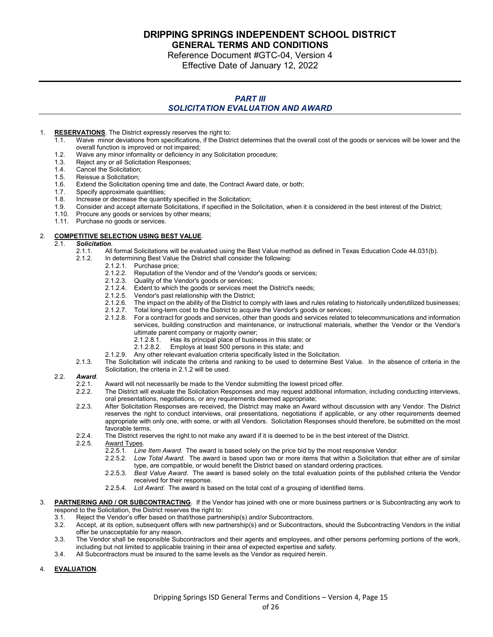**DRIPPING SPRINGS INDEPENDENT SCHOOL DISTRICT** 

**GENERAL TERMS AND CONDITIONS**

Reference Document #GTC-04, Version 4 Effective Date of January 12, 2022

### *PART III SOLICITATION EVALUATION AND AWARD*

- 1. **RESERVATIONS**. The District expressly reserves the right to:<br>11 Waive minor deviations from specifications if the Distr
	- Waive minor deviations from specifications, if the District determines that the overall cost of the goods or services will be lower and the overall function is improved or not impaired;
		- 1.2. Waive any minor informality or deficiency in any Solicitation procedure;
		- Reject any or all Solicitation Responses;
		- 1.4. Cancel the Solicitation;<br>1.5. Reissue a Solicitation:
		- Reissue a Solicitation:
		- 1.6. Extend the Solicitation opening time and date, the Contract Award date, or both;
		- 1.7. Specify approximate quantities;<br>1.8. Increase or decrease the quanti
	- 1.8. Increase or decrease the quantity specified in the Solicitation;<br>1.9. Consider and accept alternate Solicitations, if specified in the
	- 1.9. Consider and accept alternate Solicitations, if specified in the Solicitation, when it is considered in the best interest of the District;
	- 1.10. Procure any goods or services by other means;
	- 1.11. Purchase no goods or services.

# 2. **COMPETITIVE SELECTION USING BEST VALUE**.

- 2.1. *Solicitation*.
	- 2.1.1. All formal Solicitations will be evaluated using the Best Value method as defined in Texas Education Code 44.031(b).
	- 2.1.2. In determining Best Value the District shall consider the following:
		- 2.1.2.1. Purchase price;
			- 2.1.2.2. Reputation of the Vendor and of the Vendor's goods or services;<br>2.1.2.3. Quality of the Vendor's goods or services:
			- 2.1.2.3. Quality of the Vendor's goods or services;<br>2.1.2.4. Extent to which the goods or services mee
			- 2.1.2.4. Extent to which the goods or services meet the District's needs;<br>2.1.2.5. Vendor's past relationship with the District;
			- Vendor's past relationship with the District;
			- 2.1.2.6. The impact on the ability of the District to comply with laws and rules relating to historically underutilized businesses;<br>2.1.2.7. Total long-term cost to the District to acquire the Vendor's goods or services;
			- Total long-term cost to the District to acquire the Vendor's goods or services;
			- 2.1.2.8. For a contract for goods and services, other than goods and services related to telecommunications and information services, building construction and maintenance, or instructional materials, whether the Vendor or the Vendor's ultimate parent company or majority owner;<br>2.1.2.8.1. Has its principal place of busine
				- 2.1.2.8.1. Has its principal place of business in this state; or <br>2.1.2.8.2. Employs at least 500 persons in this state; and
				- Employs at least 500 persons in this state; and
			- 2.1.2.9. Any other relevant evaluation criteria specifically listed in the Solicitation.
	- 2.1.3. The Solicitation will indicate the criteria and ranking to be used to determine Best Value. In the absence of criteria in the Solicitation, the criteria in 2.1.2 will be used.

# 2.2. *Award*.

- 2.2.1. Award will not necessarily be made to the Vendor submitting the lowest priced offer.<br>2.2.2. The District will evaluate the Solicitation Responses and may request additional info
- The District will evaluate the Solicitation Responses and may request additional information, including conducting interviews, oral presentations, negotiations, or any requirements deemed appropriate;
- 2.2.3. After Solicitation Responses are received, the District may make an Award without discussion with any Vendor. The District reserves the right to conduct interviews, oral presentations, negotiations if applicable, or any other requirements deemed appropriate with only one, with some, or with all Vendors. Solicitation Responses should therefore, be submitted on the most favorable terms.
- 2.2.4. The District reserves the right to not make any award if it is deemed to be in the best interest of the District.<br>2.2.5. Award Types.
- - Award Types.<br>2.2.5.1. Line 2.2.5.1. *Line Item Award*. The award is based solely on the price bid by the most responsive Vendor.
	- 2.2.5.2. *Low Total Award*. The award is based upon two or more items that within a Solicitation that either are of similar type, are compatible, or would benefit the District based on standard ordering practices.
	- 2.2.5.3. *Best Value Award*. The award is based solely on the total evaluation points of the published criteria the Vendor received for their response.
	- 2.2.5.4. *Lot Award*. The award is based on the total cost of a grouping of identified items.
- 3. **PARTNERING AND / OR SUBCONTRACTING**. If the Vendor has joined with one or more business partners or is Subcontracting any work to respond to the Solicitation, the District reserves the right to:
	- 3.1. Reject the Vendor's offer based on that/those partnership(s) and/or Subcontractors.
	- 3.2. Accept, at its option, subsequent offers with new partnership(s) and or Subcontractors, should the Subcontracting Vendors in the initial offer be unacceptable for any reason.
	- 3.3. The Vendor shall be responsible Subcontractors and their agents and employees, and other persons performing portions of the work, including but not limited to applicable training in their area of expected expertise and safety.
	- 3.4. All Subcontractors must be insured to the same levels as the Vendor as required herein.

#### 4. **EVALUATION**.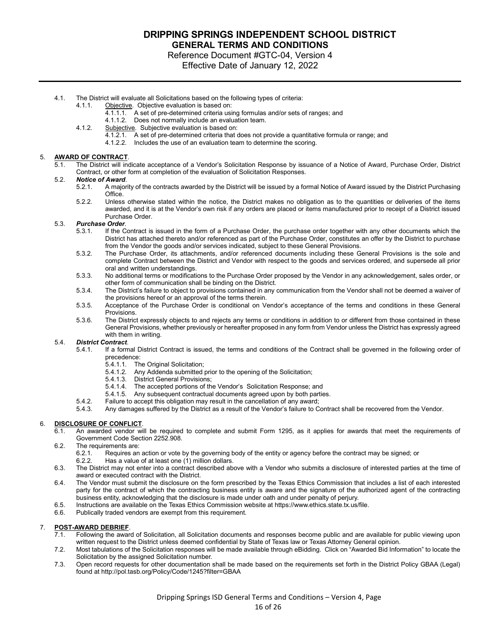Reference Document #GTC-04, Version 4

- Effective Date of January 12, 2022
- 4.1. The District will evaluate all Solicitations based on the following types of criteria:
	- 4.1.1. Objective. Objective evaluation is based on:
		- 4.1.1.1. A set of pre-determined criteria using formulas and/or sets of ranges; and
		- 4.1.1.2. Does not normally include an evaluation team.
		- 4.1.2. Subjective. Subjective evaluation is based on:
			- 4.1.2.1. A set of pre-determined criteria that does not provide a quantitative formula or range; and
			- 4.1.2.2. Includes the use of an evaluation team to determine the scoring.

#### 5. **AWARD OF CONTRACT**.

5.1. The District will indicate acceptance of a Vendor's Solicitation Response by issuance of a Notice of Award, Purchase Order, District Contract, or other form at completion of the evaluation of Solicitation Responses.

- 5.2. *Notice of Award*.
	- 5.2.1. A majority of the contracts awarded by the District will be issued by a formal Notice of Award issued by the District Purchasing **Office**
	- 5.2.2. Unless otherwise stated within the notice, the District makes no obligation as to the quantities or deliveries of the items awarded, and it is at the Vendor's own risk if any orders are placed or items manufactured prior to receipt of a District issued Purchase Order.

#### 5.3. *Purchase Order*.

- 5.3.1. If the Contract is issued in the form of a Purchase Order, the purchase order together with any other documents which the District has attached thereto and/or referenced as part of the Purchase Order, constitutes an offer by the District to purchase from the Vendor the goods and/or services indicated, subject to these General Provisions.
- 5.3.2. The Purchase Order, its attachments, and/or referenced documents including these General Provisions is the sole and complete Contract between the District and Vendor with respect to the goods and services ordered, and supersede all prior oral and written understandings.
- 5.3.3. No additional terms or modifications to the Purchase Order proposed by the Vendor in any acknowledgement, sales order, or other form of communication shall be binding on the District.
- 5.3.4. The District's failure to object to provisions contained in any communication from the Vendor shall not be deemed a waiver of the provisions hereof or an approval of the terms therein.
- 5.3.5. Acceptance of the Purchase Order is conditional on Vendor's acceptance of the terms and conditions in these General Provisions.
- 5.3.6. The District expressly objects to and rejects any terms or conditions in addition to or different from those contained in these General Provisions, whether previously or hereafter proposed in any form from Vendor unless the District has expressly agreed with them in writing.

## 5.4. *District Contract*.

- If a formal District Contract is issued, the terms and conditions of the Contract shall be governed in the following order of precedence:
	- 5.4.1.1. The Original Solicitation;<br>5.4.1.2. Any Addenda submitted
	- Any Addenda submitted prior to the opening of the Solicitation;
	- 5.4.1.3. District General Provisions;<br>5.4.1.4. The accepted portions of th
	- The accepted portions of the Vendor's Solicitation Response; and
	- 5.4.1.5. Any subsequent contractual documents agreed upon by both parties.
- 5.4.2. Failure to accept this obligation may result in the cancellation of any award;
- 5.4.3. Any damages suffered by the District as a result of the Vendor's failure to Contract shall be recovered from the Vendor.

# 6. **DISCLOSURE OF CONFLICT**.

- 6.1. An awarded vendor will be required to complete and submit Form 1295, as it applies for awards that meet the requirements of Government Code Section 2252.908.
- 6.2. The requirements are:
	- 6.2.1. Requires an action or vote by the governing body of the entity or agency before the contract may be signed; or
	- 6.2.2. Has a value of at least one (1) million dollars.
- 6.3. The District may not enter into a contract described above with a Vendor who submits a disclosure of interested parties at the time of award or executed contract with the District.
- 6.4. The Vendor must submit the disclosure on the form prescribed by the Texas Ethics Commission that includes a list of each interested party for the contract of which the contracting business entity is aware and the signature of the authorized agent of the contracting business entity, acknowledging that the disclosure is made under oath and under penalty of perjury.
- 6.5. Instructions are available on the Texas Ethics Commission website at https://www.ethics.state.tx.us/file.<br>6.6. Publically traded vendors are exempt from this requirement
- Publically traded vendors are exempt from this requirement.

#### 7. **POST-AWARD DEBRIEF**.

- 7.1. Following the award of Solicitation, all Solicitation documents and responses become public and are available for public viewing upon written request to the District unless deemed confidential by State of Texas law or Texas Attorney General opinion.
- 7.2. Most tabulations of the Solicitation responses will be made available through eBidding. Click on "Awarded Bid Information" to locate the Solicitation by the assigned Solicitation number.
- 7.3. Open record requests for other documentation shall be made based on the requirements set forth in the District Policy GBAA (Legal) found at http://pol.tasb.org/Policy/Code/1245?filter=GBAA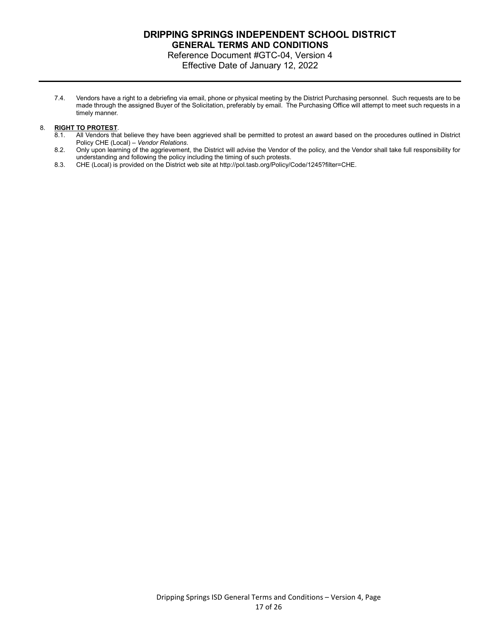### **DRIPPING SPRINGS INDEPENDENT SCHOOL DISTRICT GENERAL TERMS AND CONDITIONS** Reference Document #GTC-04, Version 4

Effective Date of January 12, 2022

7.4. Vendors have a right to a debriefing via email, phone or physical meeting by the District Purchasing personnel. Such requests are to be made through the assigned Buyer of the Solicitation, preferably by email. The Purchasing Office will attempt to meet such requests in a timely manner.

### 8. **RIGHT TO PROTEST**.

- 8.1. All Vendors that believe they have been aggrieved shall be permitted to protest an award based on the procedures outlined in District Policy CHE (Local) – *Vendor Relations*.
- 8.2. Only upon learning of the aggrievement, the District will advise the Vendor of the policy, and the Vendor shall take full responsibility for understanding and following the policy including the timing of such protests.
- 8.3. CHE (Local) is provided on the District web site at http://pol.tasb.org/Policy/Code/1245?filter=CHE.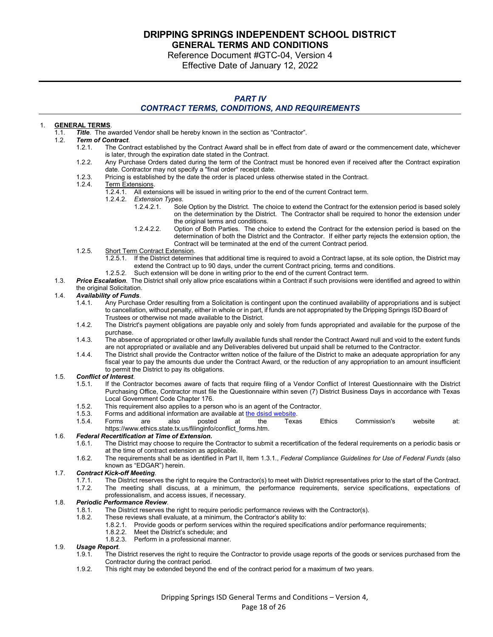**DRIPPING SPRINGS INDEPENDENT SCHOOL DISTRICT** 

**GENERAL TERMS AND CONDITIONS**

Reference Document #GTC-04, Version 4 Effective Date of January 12, 2022

### *PART IV CONTRACT TERMS, CONDITIONS, AND REQUIREMENTS*

### 1. **GENERAL TERMS**.

1.1. *Title*. The awarded Vendor shall be hereby known in the section as "Contractor".

#### **Term of Contract.**

- 1.2.1. The Contract established by the Contract Award shall be in effect from date of award or the commencement date, whichever is later, through the expiration date stated in the Contract.
- 1.2.2. Any Purchase Orders dated during the term of the Contract must be honored even if received after the Contract expiration date. Contractor may not specify a "final order" receipt date.
- 1.2.3. Pricing is established by the date the order is placed unless otherwise stated in the Contract.

# 1.2.4. Term Extensions.<br>1.2.4.1. All exter

- 1.2.4.1. All extensions will be issued in writing prior to the end of the current Contract term.<br>1.2.4.2. Extension Types.
- 1.2.4.2. *Extension Types*.
	- Sole Option by the District. The choice to extend the Contract for the extension period is based solely on the determination by the District. The Contractor shall be required to honor the extension under the original terms and conditions.
	- 1.2.4.2.2. Option of Both Parties. The choice to extend the Contract for the extension period is based on the determination of both the District and the Contractor. If either party rejects the extension option, the Contract will be terminated at the end of the current Contract period.
- 1.2.5. Short Term Contract Extension.
	- 1.2.5.1. If the District determines that additional time is required to avoid a Contract lapse, at its sole option, the District may extend the Contract up to 90 days, under the current Contract pricing, terms and conditions.
	- 1.2.5.2. Such extension will be done in writing prior to the end of the current Contract term.
- 1.3. *Price Escalation*. The District shall only allow price escalations within a Contract if such provisions were identified and agreed to within the original Solicitation.

#### 1.4. *Availability of Funds*.

- 1.4.1. Any Purchase Order resulting from a Solicitation is contingent upon the continued availability of appropriations and is subject to cancellation, without penalty, either in whole or in part, if funds are not appropriated by the Dripping Springs ISD Board of Trustees or otherwise not made available to the District.
- 1.4.2. The District's payment obligations are payable only and solely from funds appropriated and available for the purpose of the purchase.
- 1.4.3. The absence of appropriated or other lawfully available funds shall render the Contract Award null and void to the extent funds are not appropriated or available and any Deliverables delivered but unpaid shall be returned to the Contractor.
- 1.4.4. The District shall provide the Contractor written notice of the failure of the District to make an adequate appropriation for any fiscal year to pay the amounts due under the Contract Award, or the reduction of any appropriation to an amount insufficient to permit the District to pay its obligations.

# 1.5. *Conflict of Interest*.

- If the Contractor becomes aware of facts that require filing of a Vendor Conflict of Interest Questionnaire with the District Purchasing Office, Contractor must file the Questionnaire within seven (7) District Business Days in accordance with Texas Local Government Code Chapter 176.
- 1.5.2. This requirement also applies to a person who is an agent of the Contractor.
- 
- 1.5.3. Forms and additional information are available at [the dsisd website](http://www.ltisdschools.org/).<br>1.5.4. Forms are also posted at the Texas 1.5.4. Forms are also posted at the Texas Ethics Commission's website at: https://www.ethics.state.tx.us/filinginfo/conflict\_forms.htm.

### 1.6. *Federal Recertification at Time of Extension.*

- 1.6.1. The District may choose to require the Contractor to submit a recertification of the federal requirements on a periodic basis or at the time of contract extension as applicable.
- 1.6.2. The requirements shall be as identified in Part II, Item 1.3.1., *Federal Compliance Guidelines for Use of Federal Funds* (also known as "EDGAR") herein.

## 1.7. *Contract Kick-off Meeting*.

- 1.7.1. The District reserves the right to require the Contractor(s) to meet with District representatives prior to the start of the Contract.<br>172. The meeting shall discuss at a minimum, the performance requirements, servi
- The meeting shall discuss, at a minimum, the performance requirements, service specifications, expectations of professionalism, and access issues, if necessary.

# 1.8. *Periodic Performance Review*.

- 1.8.1. The District reserves the right to require periodic performance reviews with the Contractor(s).<br>1.8.2. These reviews shall evaluate at a minimum the Contractor's ability to:
	- These reviews shall evaluate, at a minimum, the Contractor's ability to:
		- 1.8.2.1. Provide goods or perform services within the required specifications and/or performance requirements;
			- 1.8.2.2. Meet the District's schedule; and<br>1.8.2.3. Perform in a professional manner
			- Perform in a professional manner.

# 1.9. *Usage Report*.

- The District reserves the right to require the Contractor to provide usage reports of the goods or services purchased from the Contractor during the contract period.
- 1.9.2. This right may be extended beyond the end of the contract period for a maximum of two years.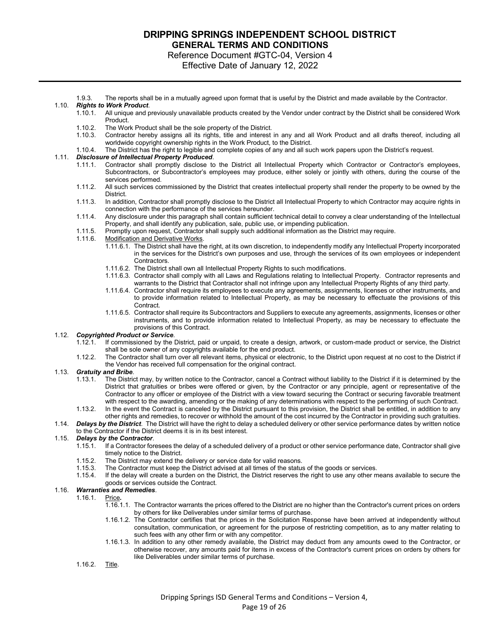Reference Document #GTC-04, Version 4 Effective Date of January 12, 2022

1.9.3. The reports shall be in a mutually agreed upon format that is useful by the District and made available by the Contractor.

### 1.10. *Rights to Work Product*.

- All unique and previously unavailable products created by the Vendor under contract by the District shall be considered Work Product.
- 1.10.2. The Work Product shall be the sole property of the District.
- 1.10.3. Contractor hereby assigns all its rights, title and interest in any and all Work Product and all drafts thereof, including all worldwide copyright ownership rights in the Work Product, to the District.
- 1.10.4. The District has the right to legible and complete copies of any and all such work papers upon the District's request.

#### 1.11. *Disclosure of Intellectual Property Produced*.

- 1.11.1. Contractor shall promptly disclose to the District all Intellectual Property which Contractor or Contractor's employees, Subcontractors, or Subcontractor's employees may produce, either solely or jointly with others, during the course of the services performed.
- 1.11.2. All such services commissioned by the District that creates intellectual property shall render the property to be owned by the **District**
- 1.11.3. In addition, Contractor shall promptly disclose to the District all Intellectual Property to which Contractor may acquire rights in connection with the performance of the services hereunder.
- 1.11.4. Any disclosure under this paragraph shall contain sufficient technical detail to convey a clear understanding of the Intellectual Property, and shall identify any publication, sale, public use, or impending publication.
- 1.11.5. Promptly upon request, Contractor shall supply such additional information as the District may require.
- 1.11.6. Modification and Derivative Works.
	- 1.11.6.1. The District shall have the right, at its own discretion, to independently modify any Intellectual Property incorporated in the services for the District's own purposes and use, through the services of its own employees or independent Contractors.
		- 1.11.6.2. The District shall own all Intellectual Property Rights to such modifications.
		- 1.11.6.3. Contractor shall comply with all Laws and Regulations relating to Intellectual Property. Contractor represents and warrants to the District that Contractor shall not infringe upon any Intellectual Property Rights of any third party.
		- 1.11.6.4. Contractor shall require its employees to execute any agreements, assignments, licenses or other instruments, and to provide information related to Intellectual Property, as may be necessary to effectuate the provisions of this Contract.
	- 1.11.6.5. Contractor shall require its Subcontractors and Suppliers to execute any agreements, assignments, licenses or other instruments, and to provide information related to Intellectual Property, as may be necessary to effectuate the provisions of this Contract.

# 1.12. *Copyrighted Product or Service*.

- If commissioned by the District, paid or unpaid, to create a design, artwork, or custom-made product or service, the District shall be sole owner of any copyrights available for the end product.
- 1.12.2. The Contractor shall turn over all relevant items, physical or electronic, to the District upon request at no cost to the District if the Vendor has received full compensation for the original contract.

# 1.13. *Gratuity and Bribe*.

- The District may, by written notice to the Contractor, cancel a Contract without liability to the District if it is determined by the District that gratuities or bribes were offered or given, by the Contractor or any principle, agent or representative of the Contractor to any officer or employee of the District with a view toward securing the Contract or securing favorable treatment with respect to the awarding, amending or the making of any determinations with respect to the performing of such Contract.
- 1.13.2. In the event the Contract is canceled by the District pursuant to this provision, the District shall be entitled, in addition to any other rights and remedies, to recover or withhold the amount of the cost incurred by the Contractor in providing such gratuities.
- 1.14. *Delays by the District*.The District will have the right to delay a scheduled delivery or other service performance dates by written notice to the Contractor if the District deems it is in its best interest.

# 1.15. *Delays by the Contractor*.

- If a Contractor foresees the delay of a scheduled delivery of a product or other service performance date, Contractor shall give timely notice to the District.
- 1.15.2. The District may extend the delivery or service date for valid reasons.
- 1.15.3. The Contractor must keep the District advised at all times of the status of the goods or services.<br>1.15.4. If the delay will create a burden on the District, the District reserves the right to use any other m
- If the delay will create a burden on the District, the District reserves the right to use any other means available to secure the goods or services outside the Contract.

#### 1.16. *Warranties and Remedies*.

- 1.16.1. Price*.*
	- 1.16.1.1. The Contractor warrants the prices offered to the District are no higher than the Contractor's current prices on orders by others for like Deliverables under similar terms of purchase.
	- 1.16.1.2. The Contractor certifies that the prices in the Solicitation Response have been arrived at independently without consultation, communication, or agreement for the purpose of restricting competition, as to any matter relating to such fees with any other firm or with any competitor.
	- 1.16.1.3. In addition to any other remedy available, the District may deduct from any amounts owed to the Contractor, or otherwise recover, any amounts paid for items in excess of the Contractor's current prices on orders by others for like Deliverables under similar terms of purchase.

#### 1.16.2. Title.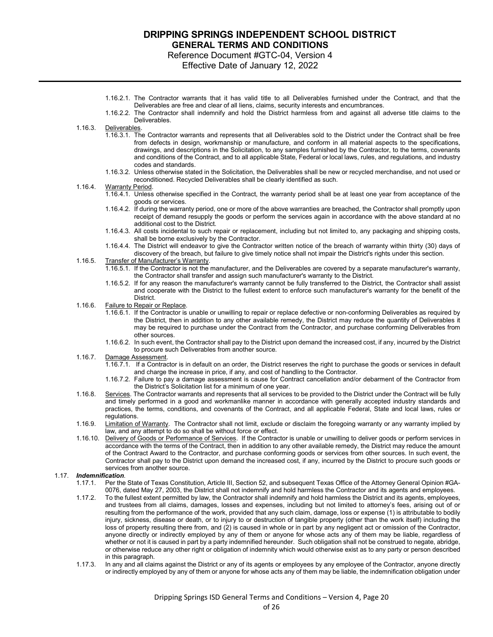Reference Document #GTC-04, Version 4

Effective Date of January 12, 2022

- 1.16.2.1. The Contractor warrants that it has valid title to all Deliverables furnished under the Contract, and that the Deliverables are free and clear of all liens, claims, security interests and encumbrances.
- 1.16.2.2. The Contractor shall indemnify and hold the District harmless from and against all adverse title claims to the Deliverables.
- 1.16.3. Deliverables.
	- 1.16.3.1. The Contractor warrants and represents that all Deliverables sold to the District under the Contract shall be free from defects in design, workmanship or manufacture, and conform in all material aspects to the specifications, drawings, and descriptions in the Solicitation, to any samples furnished by the Contractor, to the terms, covenants and conditions of the Contract, and to all applicable State, Federal or local laws, rules, and regulations, and industry codes and standards.
	- 1.16.3.2. Unless otherwise stated in the Solicitation, the Deliverables shall be new or recycled merchandise, and not used or reconditioned. Recycled Deliverables shall be clearly identified as such.
- 1.16.4. Warranty Period.
	- 1.16.4.1. Unless otherwise specified in the Contract, the warranty period shall be at least one year from acceptance of the goods or services.
	- 1.16.4.2. If during the warranty period, one or more of the above warranties are breached, the Contractor shall promptly upon receipt of demand resupply the goods or perform the services again in accordance with the above standard at no additional cost to the District.
	- 1.16.4.3. All costs incidental to such repair or replacement, including but not limited to, any packaging and shipping costs, shall be borne exclusively by the Contractor.
	- 1.16.4.4. The District will endeavor to give the Contractor written notice of the breach of warranty within thirty (30) days of discovery of the breach, but failure to give timely notice shall not impair the District's rights under this section.
- 1.16.5. Transfer of Manufacturer's Warranty.
	- 1.16.5.1. If the Contractor is not the manufacturer, and the Deliverables are covered by a separate manufacturer's warranty, the Contractor shall transfer and assign such manufacturer's warranty to the District.
	- 1.16.5.2. If for any reason the manufacturer's warranty cannot be fully transferred to the District, the Contractor shall assist and cooperate with the District to the fullest extent to enforce such manufacturer's warranty for the benefit of the District.
- 1.16.6. Failure to Repair or Replace.
	- 1.16.6.1. If the Contractor is unable or unwilling to repair or replace defective or non-conforming Deliverables as required by the District, then in addition to any other available remedy, the District may reduce the quantity of Deliverables it may be required to purchase under the Contract from the Contractor, and purchase conforming Deliverables from other sources.
	- 1.16.6.2. In such event, the Contractor shall pay to the District upon demand the increased cost, if any, incurred by the District to procure such Deliverables from another source.
- 1.16.7. Damage Assessment.
	- 1.16.7.1. If a Contractor is in default on an order, the District reserves the right to purchase the goods or services in default and charge the increase in price, if any, and cost of handling to the Contractor.
	- 1.16.7.2. Failure to pay a damage assessment is cause for Contract cancellation and/or debarment of the Contractor from the District's Solicitation list for a minimum of one year.
- 1.16.8. Services. The Contractor warrants and represents that all services to be provided to the District under the Contract will be fully and timely performed in a good and workmanlike manner in accordance with generally accepted industry standards and practices, the terms, conditions, and covenants of the Contract, and all applicable Federal, State and local laws, rules or regulations.
- 1.16.9. Limitation of Warranty. The Contractor shall not limit, exclude or disclaim the foregoing warranty or any warranty implied by law, and any attempt to do so shall be without force or effect.
- 1.16.10. Delivery of Goods or Performance of Services. If the Contractor is unable or unwilling to deliver goods or perform services in accordance with the terms of the Contract, then in addition to any other available remedy, the District may reduce the amount of the Contract Award to the Contractor, and purchase conforming goods or services from other sources. In such event, the Contractor shall pay to the District upon demand the increased cost, if any, incurred by the District to procure such goods or services from another source.

#### 1.17. *Indemnification*.

- 1.17.1. Per the State of Texas Constitution, Article III, Section 52, and subsequent Texas Office of the Attorney General Opinion #GA-0076, dated May 27, 2003, the District shall not indemnify and hold harmless the Contractor and its agents and employees.
- 1.17.2. To the fullest extent permitted by law, the Contractor shall indemnify and hold harmless the District and its agents, employees, and trustees from all claims, damages, losses and expenses, including but not limited to attorney's fees, arising out of or resulting from the performance of the work, provided that any such claim, damage, loss or expense (1) is attributable to bodily injury, sickness, disease or death, or to injury to or destruction of tangible property (other than the work itself) including the loss of property resulting there from, and (2) is caused in whole or in part by any negligent act or omission of the Contractor, anyone directly or indirectly employed by any of them or anyone for whose acts any of them may be liable, regardless of whether or not it is caused in part by a party indemnified hereunder. Such obligation shall not be construed to negate, abridge, or otherwise reduce any other right or obligation of indemnity which would otherwise exist as to any party or person described in this paragraph.
- 1.17.3. In any and all claims against the District or any of its agents or employees by any employee of the Contractor, anyone directly or indirectly employed by any of them or anyone for whose acts any of them may be liable, the indemnification obligation under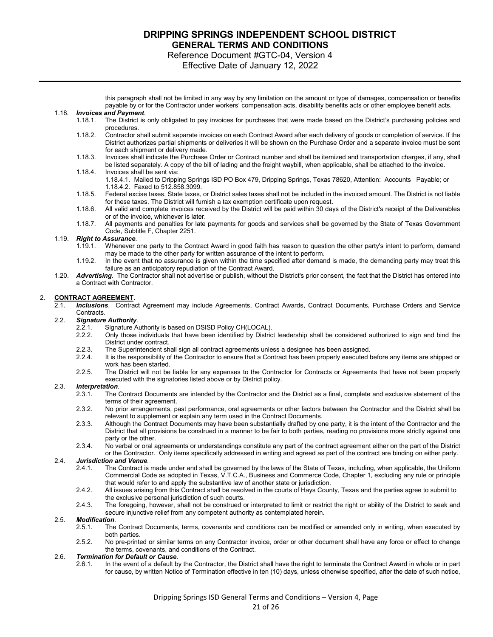Reference Document #GTC-04, Version 4

Effective Date of January 12, 2022

this paragraph shall not be limited in any way by any limitation on the amount or type of damages, compensation or benefits payable by or for the Contractor under workers' compensation acts, disability benefits acts or other employee benefit acts.

#### 1.18. *Invoices and Payment*.

- 1.18.1. The District is only obligated to pay invoices for purchases that were made based on the District's purchasing policies and procedures.
- 1.18.2. Contractor shall submit separate invoices on each Contract Award after each delivery of goods or completion of service. If the District authorizes partial shipments or deliveries it will be shown on the Purchase Order and a separate invoice must be sent for each shipment or delivery made.
- 1.18.3. Invoices shall indicate the Purchase Order or Contract number and shall be itemized and transportation charges, if any, shall be listed separately. A copy of the bill of lading and the freight waybill, when applicable, shall be attached to the invoice.
- 1.18.4. Invoices shall be sent via: 1.18.4.1. Mailed to Dripping Springs ISD PO Box 479, Dripping Springs, Texas 78620, Attention: Accounts Payable; or 1.18.4.2. Faxed to 512.858.3099.
- 1.18.5. Federal excise taxes, State taxes, or District sales taxes shall not be included in the invoiced amount. The District is not liable for these taxes. The District will furnish a tax exemption certificate upon request.
- 1.18.6. All valid and complete invoices received by the District will be paid within 30 days of the District's receipt of the Deliverables or of the invoice, whichever is later.
- 1.18.7. All payments and penalties for late payments for goods and services shall be governed by the State of Texas Government Code, Subtitle F, Chapter 2251.

# 1.19. *Right to Assurance*.

- 1.19.1. Whenever one party to the Contract Award in good faith has reason to question the other party's intent to perform, demand may be made to the other party for written assurance of the intent to perform.
- 1.19.2. In the event that no assurance is given within the time specified after demand is made, the demanding party may treat this failure as an anticipatory repudiation of the Contract Award.
- 1.20. *Advertising*. The Contractor shall not advertise or publish, without the District's prior consent, the fact that the District has entered into a Contract with Contractor.

#### 2. **CONTRACT AGREEMENT**.

2.1. *Inclusions*. Contract Agreement may include Agreements, Contract Awards, Contract Documents, Purchase Orders and Service **Contracts** 

# 2.2. *Signature Authority*.

- 2.2.1. Signature Authority is based on DSISD Policy CH(LOCAL).<br>2.2.2. Only those individuals that have been identified by Distric
- 2.2.2. Only those individuals that have been identified by District leadership shall be considered authorized to sign and bind the District under contract.
- 2.2.3. The Superintendent shall sign all contract agreements unless a designee has been assigned.<br>2.2.4. It is the responsibility of the Contractor to ensure that a Contract has been properly executed i
- It is the responsibility of the Contractor to ensure that a Contract has been properly executed before any items are shipped or work has been started.
- 2.2.5. The District will not be liable for any expenses to the Contractor for Contracts or Agreements that have not been properly executed with the signatories listed above or by District policy.

#### 2.3. *Interpretation*.

- 2.3.1. The Contract Documents are intended by the Contractor and the District as a final, complete and exclusive statement of the terms of their agreement.
- 2.3.2. No prior arrangements, past performance, oral agreements or other factors between the Contractor and the District shall be relevant to supplement or explain any term used in the Contract Documents.
- 2.3.3. Although the Contract Documents may have been substantially drafted by one party, it is the intent of the Contractor and the District that all provisions be construed in a manner to be fair to both parties, reading no provisions more strictly against one party or the other.
- 2.3.4. No verbal or oral agreements or understandings constitute any part of the contract agreement either on the part of the District or the Contractor. Only items specifically addressed in writing and agreed as part of the contract are binding on either party.

#### 2.4. *Jurisdiction and Venue*.

- 2.4.1. The Contract is made under and shall be governed by the laws of the State of Texas, including, when applicable, the Uniform Commercial Code as adopted in Texas, V.T.C.A., Business and Commerce Code, Chapter 1, excluding any rule or principle that would refer to and apply the substantive law of another state or jurisdiction.
- 2.4.2. All issues arising from this Contract shall be resolved in the courts of Hays County, Texas and the parties agree to submit to the exclusive personal jurisdiction of such courts.
- 2.4.3. The foregoing, however, shall not be construed or interpreted to limit or restrict the right or ability of the District to seek and secure injunctive relief from any competent authority as contemplated herein.

### 2.5. *Modification*.

- The Contract Documents, terms, covenants and conditions can be modified or amended only in writing, when executed by both parties.
- 2.5.2. No pre-printed or similar terms on any Contractor invoice, order or other document shall have any force or effect to change the terms, covenants, and conditions of the Contract.

### 2.6. *Termination for Default or Cause*.

2.6.1. In the event of a default by the Contractor, the District shall have the right to terminate the Contract Award in whole or in part for cause, by written Notice of Termination effective in ten (10) days, unless otherwise specified, after the date of such notice,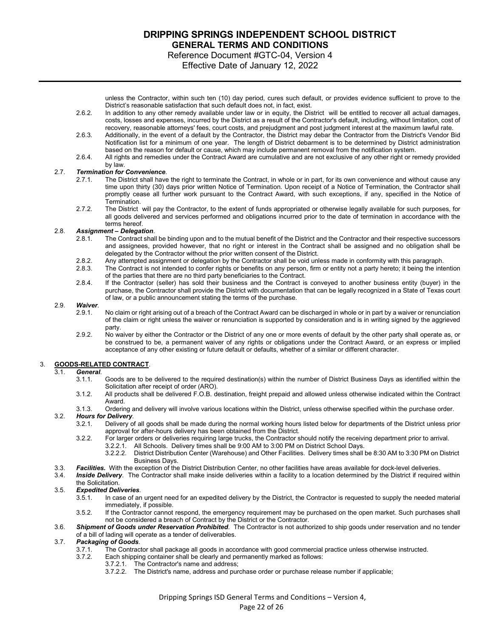Reference Document #GTC-04, Version 4 Effective Date of January 12, 2022

unless the Contractor, within such ten (10) day period, cures such default, or provides evidence sufficient to prove to the District's reasonable satisfaction that such default does not, in fact, exist.

- 2.6.2. In addition to any other remedy available under law or in equity, the District will be entitled to recover all actual damages, costs, losses and expenses, incurred by the District as a result of the Contractor's default, including, without limitation, cost of recovery, reasonable attorneys' fees, court costs, and prejudgment and post judgment interest at the maximum lawful rate.
- 2.6.3. Additionally, in the event of a default by the Contractor, the District may debar the Contractor from the District's Vendor Bid Notification list for a minimum of one year. The length of District debarment is to be determined by District administration based on the reason for default or cause, which may include permanent removal from the notification system.
- 2.6.4. All rights and remedies under the Contract Award are cumulative and are not exclusive of any other right or remedy provided by law.

#### 2.7. *Termination for Convenience*.

- 2.7.1. The District shall have the right to terminate the Contract, in whole or in part, for its own convenience and without cause any time upon thirty (30) days prior written Notice of Termination. Upon receipt of a Notice of Termination, the Contractor shall promptly cease all further work pursuant to the Contract Award, with such exceptions, if any, specified in the Notice of Termination.
- 2.7.2. The District will pay the Contractor, to the extent of funds appropriated or otherwise legally available for such purposes, for all goods delivered and services performed and obligations incurred prior to the date of termination in accordance with the terms hereof.

# 2.8. *Assignment – Delegation*.

- The Contract shall be binding upon and to the mutual benefit of the District and the Contractor and their respective successors and assignees, provided however, that no right or interest in the Contract shall be assigned and no obligation shall be delegated by the Contractor without the prior written consent of the District.
- 2.8.2. Any attempted assignment or delegation by the Contractor shall be void unless made in conformity with this paragraph.
- 2.8.3. The Contract is not intended to confer rights or benefits on any person, firm or entity not a party hereto; it being the intention of the parties that there are no third party beneficiaries to the Contract.
- 2.8.4. If the Contractor (seller) has sold their business and the Contract is conveyed to another business entity (buyer) in the purchase, the Contractor shall provide the District with documentation that can be legally recognized in a State of Texas court of law, or a public announcement stating the terms of the purchase.

### 2.9. *Waiver*.

- No claim or right arising out of a breach of the Contract Award can be discharged in whole or in part by a waiver or renunciation of the claim or right unless the waiver or renunciation is supported by consideration and is in writing signed by the aggrieved party.
- 2.9.2. No waiver by either the Contractor or the District of any one or more events of default by the other party shall operate as, or be construed to be, a permanent waiver of any rights or obligations under the Contract Award, or an express or implied acceptance of any other existing or future default or defaults, whether of a similar or different character.

#### 3. **GOODS-RELATED CONTRACT**.

# 3.1. *General*.

- Goods are to be delivered to the required destination(s) within the number of District Business Days as identified within the Solicitation after receipt of order (ARO).
- 3.1.2. All products shall be delivered F.O.B. destination, freight prepaid and allowed unless otherwise indicated within the Contract Award.
- 3.1.3. Ordering and delivery will involve various locations within the District, unless otherwise specified within the purchase order.

### 3.2. *Hours for Delivery*.

- Delivery of all goods shall be made during the normal working hours listed below for departments of the District unless prior approval for after-hours delivery has been obtained from the District.
- 3.2.2. For larger orders or deliveries requiring large trucks, the Contractor should notify the receiving department prior to arrival.
	- 3.2.2.1. All Schools. Delivery times shall be 9:00 AM to 3:00 PM on District School Days. 3.2.2.2. District Distribution Center (Warehouse) and Other Facilities. Delivery times shall be 8:30 AM to 3:30 PM on District Business Days.
- 3.3. *Facilities.* With the exception of the District Distribution Center, no other facilities have areas available for dock-level deliveries.
- 3.4. *Inside Delivery*. The Contractor shall make inside deliveries within a facility to a location determined by the District if required within the Solicitation.

### 3.5. *Expedited Deliveries*.

- 3.5.1. In case of an urgent need for an expedited delivery by the District, the Contractor is requested to supply the needed material immediately, if possible.
- 3.5.2. If the Contractor cannot respond, the emergency requirement may be purchased on the open market. Such purchases shall not be considered a breach of Contract by the District or the Contractor.
- 3.6. *Shipment of Goods under Reservation Prohibited*.The Contractor is not authorized to ship goods under reservation and no tender of a bill of lading will operate as a tender of deliverables.

# 3.7. *Packaging of Goods*.

- 3.7.1. The Contractor shall package all goods in accordance with good commercial practice unless otherwise instructed.<br>3.7.2. Each shipping container shall be clearly and permanently marked as follows:
	- Each shipping container shall be clearly and permanently marked as follows:<br>3.7.2.1. The Contractor's name and address;
		- The Contractor's name and address;
			- 3.7.2.2. The District's name, address and purchase order or purchase release number if applicable;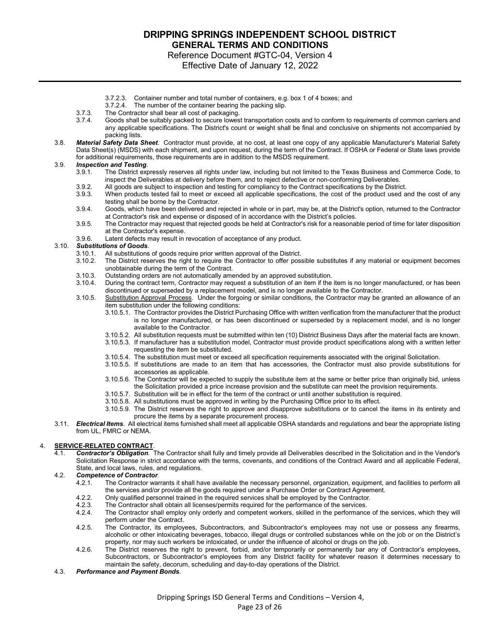Reference Document #GTC-04, Version 4 Effective Date of January 12, 2022

- 3.7.2.3. Container number and total number of containers, e.g. box 1 of 4 boxes; and
- The number of the container bearing the packing slip.
- 3.7.3. The Contractor shall bear all cost of packaging.
- 3.7.4. Goods shall be suitably packed to secure lowest transportation costs and to conform to requirements of common carriers and any applicable specifications. The District's count or weight shall be final and conclusive on shipments not accompanied by packing lists.
- 3.8. *Material Safety Data Sheet*. Contractor must provide, at no cost, at least one copy of any applicable Manufacturer's Material Safety Data Sheet(s) (MSDS) with each shipment, and upon request, during the term of the Contract. If OSHA or Federal or State laws provide for additional requirements, those requirements are in addition to the MSDS requirement.

# 3.9. *Inspection and Testing.*

- The District expressly reserves all rights under law, including but not limited to the Texas Business and Commerce Code, to inspect the Deliverables at delivery before them, and to reject defective or non-conforming Deliverables.
- 3.9.2. All goods are subject to inspection and testing for compliancy to the Contract specifications by the District.<br>3.9.3. When products tested fail to meet or exceed all applicable specifications, the cost of the produc
- When products tested fail to meet or exceed all applicable specifications, the cost of the product used and the cost of any testing shall be borne by the Contractor.
- 3.9.4. Goods, which have been delivered and rejected in whole or in part, may be, at the District's option, returned to the Contractor at Contractor's risk and expense or disposed of in accordance with the District's policies.
- 3.9.5. The Contractor may request that rejected goods be held at Contractor's risk for a reasonable period of time for later disposition at the Contractor's expense. 3.9.6. Latent defects may result in revocation of acceptance of any product.
- 

#### 3.10. *Substitutions of Goods*.

- 3.10.1. All substitutions of goods require prior written approval of the District.
- The District reserves the right to require the Contractor to offer possible substitutes if any material or equipment becomes unobtainable during the term of the Contract.
- 3.10.3. Outstanding orders are not automatically amended by an approved substitution.
- During the contract term, Contractor may request a substitution of an item if the item is no longer manufactured, or has been discontinued or superseded by a replacement model, and is no longer available to the Contractor.
- 3.10.5. Substitution Approval Process. Under the forgoing or similar conditions, the Contractor may be granted an allowance of an item substitution under the following conditions:
	- 3.10.5.1. The Contractor provides the District Purchasing Office with written verification from the manufacturer that the product is no longer manufactured, or has been discontinued or superseded by a replacement model, and is no longer available to the Contractor.
	- 3.10.5.2. All substitution requests must be submitted within ten (10) District Business Days after the material facts are known.
	- 3.10.5.3. If manufacturer has a substitution model, Contractor must provide product specifications along with a written letter requesting the item be substituted.
	- 3.10.5.4. The substitution must meet or exceed all specification requirements associated with the original Solicitation.
	- 3.10.5.5. If substitutions are made to an item that has accessories, the Contractor must also provide substitutions for accessories as applicable.
	- 3.10.5.6. The Contractor will be expected to supply the substitute item at the same or better price than originally bid, unless the Solicitation provided a price increase provision and the substitute can meet the provision requirements.
	- 3.10.5.7. Substitution will be in effect for the term of the contract or until another substitution is required.
	- 3.10.5.8. All substitutions must be approved in writing by the Purchasing Office prior to its effect.
	- 3.10.5.9. The District reserves the right to approve and disapprove substitutions or to cancel the items in its entirety and procure the items by a separate procurement process.
- 3.11. *Electrical Items*. All electrical items furnished shall meet all applicable OSHA standards and regulations and bear the appropriate listing from UL, FMRC or NEMA.

### 4. **SERVICE-RELATED CONTRACT**.

4.1. *Contractor's Obligation*. The Contractor shall fully and timely provide all Deliverables described in the Solicitation and in the Vendor's Solicitation Response in strict accordance with the terms, covenants, and conditions of the Contract Award and all applicable Federal, State, and local laws, rules, and regulations.

#### 4.2. *Competence of Contractor*.

- 4.2.1. The Contractor warrants it shall have available the necessary personnel, organization, equipment, and facilities to perform all the services and/or provide all the goods required under a Purchase Order or Contract Agreement.
- 4.2.2. Only qualified personnel trained in the required services shall be employed by the Contractor.<br>4.2.3. The Contractor shall obtain all licenses/permits required for the performance of the services.
- 4.2.3. The Contractor shall obtain all licenses/permits required for the performance of the services.<br>4.2.4. The Contractor shall employ only orderly and competent workers, skilled in the performance
- The Contractor shall employ only orderly and competent workers, skilled in the performance of the services, which they will perform under the Contract.
- 4.2.5. The Contractor, its employees, Subcontractors, and Subcontractor's employees may not use or possess any firearms, alcoholic or other intoxicating beverages, tobacco, illegal drugs or controlled substances while on the job or on the District's property, nor may such workers be intoxicated, or under the influence of alcohol or drugs on the job.
- 4.2.6. The District reserves the right to prevent, forbid, and/or temporarily or permanently bar any of Contractor's employees, Subcontractors, or Subcontractor's employees from any District facility for whatever reason it determines necessary to maintain the safety, decorum, scheduling and day-to-day operations of the District.
- 4.3. *Performance and Payment Bonds*.

Dripping Springs ISD General Terms and Conditions – Version 4, Page 23 of 26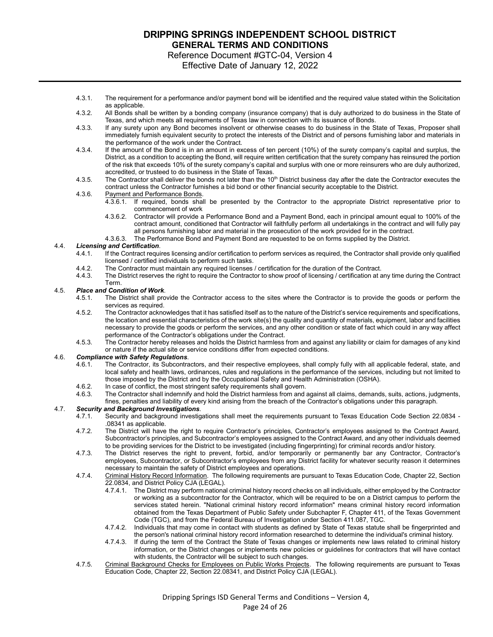Reference Document #GTC-04, Version 4

Effective Date of January 12, 2022

- 4.3.1. The requirement for a performance and/or payment bond will be identified and the required value stated within the Solicitation as applicable.
- 4.3.2. All Bonds shall be written by a bonding company (insurance company) that is duly authorized to do business in the State of Texas, and which meets all requirements of Texas law in connection with its issuance of Bonds.
- 4.3.3. If any surety upon any Bond becomes insolvent or otherwise ceases to do business in the State of Texas, Proposer shall immediately furnish equivalent security to protect the interests of the District and of persons furnishing labor and materials in the performance of the work under the Contract.
- 4.3.4. If the amount of the Bond is in an amount in excess of ten percent (10%) of the surety company's capital and surplus, the District, as a condition to accepting the Bond, will require written certification that the surety company has reinsured the portion of the risk that exceeds 10% of the surety company's capital and surplus with one or more reinsurers who are duly authorized, accredited, or trusteed to do business in the State of Texas.
- 4.3.5. The Contractor shall deliver the bonds not later than the 10<sup>th</sup> District business day after the date the Contractor executes the contract unless the Contractor furnishes a bid bond or other financial security acceptable to the District.
- 4.3.6. Payment and Performance Bonds.
	- 4.3.6.1. If required, bonds shall be presented by the Contractor to the appropriate District representative prior to commencement of work
	- 4.3.6.2. Contractor will provide a Performance Bond and a Payment Bond, each in principal amount equal to 100% of the contract amount, conditioned that Contractor will faithfully perform all undertakings in the contract and will fully pay all persons furnishing labor and material in the prosecution of the work provided for in the contract.
	- 4.3.6.3. The Performance Bond and Payment Bond are requested to be on forms supplied by the District.

#### 4.4. *Licensing and Certification*.

- 4.4.1. If the Contract requires licensing and/or certification to perform services as required, the Contractor shall provide only qualified licensed / certified individuals to perform such tasks.
- 4.4.2. The Contractor must maintain any required licenses / certification for the duration of the Contract.<br>4.4.3. The District reserves the right to require the Contractor to show proof of licensing / certification at a
- The District reserves the right to require the Contractor to show proof of licensing / certification at any time during the Contract Term.

#### 4.5. *Place and Condition of Work*.

- 4.5.1. The District shall provide the Contractor access to the sites where the Contractor is to provide the goods or perform the services as required.
- 4.5.2. The Contractor acknowledges that it has satisfied itself as to the nature of the District's service requirements and specifications, the location and essential characteristics of the work site(s) the quality and quantity of materials, equipment, labor and facilities necessary to provide the goods or perform the services, and any other condition or state of fact which could in any way affect performance of the Contractor's obligations under the Contract.
- 4.5.3. The Contractor hereby releases and holds the District harmless from and against any liability or claim for damages of any kind or nature if the actual site or service conditions differ from expected conditions.

### 4.6. *Compliance with Safety Regulations*.

- 4.6.1. The Contractor, its Subcontractors, and their respective employees, shall comply fully with all applicable federal, state, and local safety and health laws, ordinances, rules and regulations in the performance of the services, including but not limited to those imposed by the District and by the Occupational Safety and Health Administration (OSHA).
- 4.6.2. In case of conflict, the most stringent safety requirements shall govern.
- 4.6.3. The Contractor shall indemnify and hold the District harmless from and against all claims, demands, suits, actions, judgments,

fines, penalties and liability of every kind arising from the breach of the Contractor's obligations under this paragraph.

# 4.7. *Security and Background Investigations*.

- 5.3.3.3.1. Security and background investigations shall meet the requirements pursuant to Texas Education Code Section 22.0834 .08341 as applicable.
- 4.7.2. The District will have the right to require Contractor's principles, Contractor's employees assigned to the Contract Award, Subcontractor's principles, and Subcontractor's employees assigned to the Contract Award, and any other individuals deemed to be providing services for the District to be investigated (including fingerprinting) for criminal records and/or history.
- 4.7.3. The District reserves the right to prevent, forbid, and/or temporarily or permanently bar any Contractor, Contractor's employees, Subcontractor, or Subcontractor's employees from any District facility for whatever security reason it determines necessary to maintain the safety of District employees and operations.
- 4.7.4. Criminal History Record Information. The following requirements are pursuant to Texas Education Code, Chapter 22, Section 22.0834, and District Policy CJA (LEGAL).
	- 4.7.4.1. The District may perform national criminal history record checks on all individuals, either employed by the Contractor or working as a subcontractor for the Contractor, which will be required to be on a District campus to perform the services stated herein. "National criminal history record information" means criminal history record information obtained from the Texas Department of Public Safety under Subchapter F, Chapter 411, of the Texas Government Code (TGC), and from the Federal Bureau of Investigation under Section 411.087, TGC.
	- 4.7.4.2. Individuals that may come in contact with students as defined by State of Texas statute shall be fingerprinted and the person's national criminal history record information researched to determine the individual's criminal history.
	- 4.7.4.3. If during the term of the Contract the State of Texas changes or implements new laws related to criminal history information, or the District changes or implements new policies or guidelines for contractors that will have contact with students, the Contractor will be subject to such changes.
- 4.7.5. Criminal Background Checks for Employees on Public Works Projects. The following requirements are pursuant to Texas Education Code, Chapter 22, Section 22.08341, and District Policy CJA (LEGAL).

Dripping Springs ISD General Terms and Conditions – Version 4, Page 24 of 26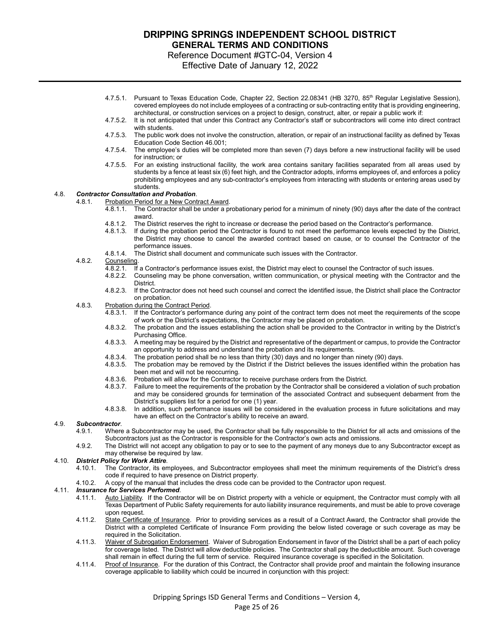Reference Document #GTC-04, Version 4

Effective Date of January 12, 2022

- 4.7.5.1. Pursuant to Texas Education Code, Chapter 22, Section 22.08341 (HB 3270, 85<sup>th</sup> Regular Legislative Session), covered employees do not include employees of a contracting or sub-contracting entity that is providing engineering, architectural, or construction services on a project to design, construct, alter, or repair a public work if:
- 4.7.5.2. It is not anticipated that under this Contract any Contractor's staff or subcontractors will come into direct contract with students.
- 4.7.5.3. The public work does not involve the construction, alteration, or repair of an instructional facility as defined by Texas Education Code Section 46.001;
- 4.7.5.4. The employee's duties will be completed more than seven (7) days before a new instructional facility will be used for instruction; or
- 4.7.5.5. For an existing instructional facility, the work area contains sanitary facilities separated from all areas used by students by a fence at least six (6) feet high, and the Contractor adopts, informs employees of, and enforces a policy prohibiting employees and any sub-contractor's employees from interacting with students or entering areas used by students.

#### 4.8. *Contractor Consultation and Probation*. 4.8.1. Probation Period for a New Contract Award.

- $\overline{4.8.1.1}$ . The Contractor shall be under a probationary period for a minimum of ninety (90) days after the date of the contract award.
	-
	- 4.8.1.2. The District reserves the right to increase or decrease the period based on the Contractor's performance.<br>4.8.1.3. If during the probation period the Contractor is found to not meet the performance levels expected If during the probation period the Contractor is found to not meet the performance levels expected by the District, the District may choose to cancel the awarded contract based on cause, or to counsel the Contractor of the performance issues.
	- 4.8.1.4. The District shall document and communicate such issues with the Contractor.

# 4.8.2. Counseling.<br>4.8.2.1. If

- If a Contractor's performance issues exist, the District may elect to counsel the Contractor of such issues.
- 4.8.2.2. Counseling may be phone conversation, written communication, or physical meeting with the Contractor and the **District.**
- 4.8.2.3. If the Contractor does not heed such counsel and correct the identified issue, the District shall place the Contractor on probation.
- 4.8.3. Probation during the Contract Period.<br>4.8.3.1 If the Contractor's performance
	- If the Contractor's performance during any point of the contract term does not meet the requirements of the scope of work or the District's expectations, the Contractor may be placed on probation.
	- 4.8.3.2. The probation and the issues establishing the action shall be provided to the Contractor in writing by the District's Purchasing Office.
	- 4.8.3.3. A meeting may be required by the District and representative of the department or campus, to provide the Contractor an opportunity to address and understand the probation and its requirements.
	- 4.8.3.4. The probation period shall be no less than thirty (30) days and no longer than ninety (90) days.
	- 4.8.3.5. The probation may be removed by the District if the District believes the issues identified within the probation has been met and will not be reoccurring.
	-
	- 4.8.3.6. Probation will allow for the Contractor to receive purchase orders from the District.<br>4.8.3.7. Failure to meet the requirements of the probation by the Contractor shall be conside 4.8.3.7. Failure to meet the requirements of the probation by the Contractor shall be considered a violation of such probation and may be considered grounds for termination of the associated Contract and subsequent debarment from the District's suppliers list for a period for one (1) year.
	- 4.8.3.8. In addition, such performance issues will be considered in the evaluation process in future solicitations and may have an effect on the Contractor's ability to receive an award.

### 4.9. *Subcontractor*.

- Where a Subcontractor may be used, the Contractor shall be fully responsible to the District for all acts and omissions of the Subcontractors just as the Contractor is responsible for the Contractor's own acts and omissions.
- 4.9.2. The District will not accept any obligation to pay or to see to the payment of any moneys due to any Subcontractor except as may otherwise be required by law.

# 4.10. *District Policy for Work Attire*.

- The Contractor, its employees, and Subcontractor employees shall meet the minimum requirements of the District's dress code if required to have presence on District property.
- 4.10.2. A copy of the manual that includes the dress code can be provided to the Contractor upon request.

### 4.11. *Insurance for Services Performed*.

- 4.11.1. Auto Liability. If the Contractor will be on District property with a vehicle or equipment, the Contractor must comply with all Texas Department of Public Safety requirements for auto liability insurance requirements, and must be able to prove coverage upon request.
- 4.11.2. State Certificate of Insurance. Prior to providing services as a result of a Contract Award, the Contractor shall provide the District with a completed Certificate of Insurance Form providing the below listed coverage or such coverage as may be required in the Solicitation.
- 4.11.3. Waiver of Subrogation Endorsement. Waiver of Subrogation Endorsement in favor of the District shall be a part of each policy for coverage listed. The District will allow deductible policies. The Contractor shall pay the deductible amount. Such coverage shall remain in effect during the full term of service. Required insurance coverage is specified in the Solicitation.
- 4.11.4. Proof of Insurance. For the duration of this Contract, the Contractor shall provide proof and maintain the following insurance coverage applicable to liability which could be incurred in conjunction with this project: